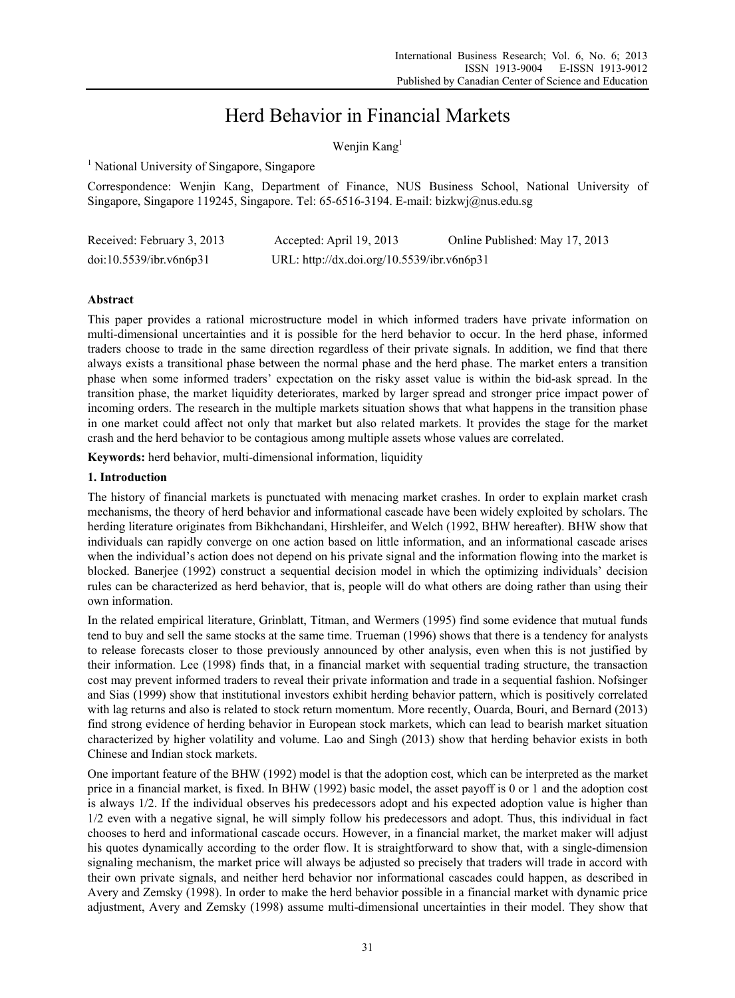# Herd Behavior in Financial Markets

Wenjin Kang<sup>1</sup>

<sup>1</sup> National University of Singapore, Singapore

Correspondence: Wenjin Kang, Department of Finance, NUS Business School, National University of Singapore, Singapore 119245, Singapore. Tel: 65-6516-3194. E-mail: bizkwj@nus.edu.sg

| Received: February 3, 2013 | Accepted: April 19, 2013                   | Online Published: May 17, 2013 |
|----------------------------|--------------------------------------------|--------------------------------|
| doi:10.5539/ibr.v6n6p31    | URL: http://dx.doi.org/10.5539/ibr.v6n6p31 |                                |

# **Abstract**

This paper provides a rational microstructure model in which informed traders have private information on multi-dimensional uncertainties and it is possible for the herd behavior to occur. In the herd phase, informed traders choose to trade in the same direction regardless of their private signals. In addition, we find that there always exists a transitional phase between the normal phase and the herd phase. The market enters a transition phase when some informed traders' expectation on the risky asset value is within the bid-ask spread. In the transition phase, the market liquidity deteriorates, marked by larger spread and stronger price impact power of incoming orders. The research in the multiple markets situation shows that what happens in the transition phase in one market could affect not only that market but also related markets. It provides the stage for the market crash and the herd behavior to be contagious among multiple assets whose values are correlated.

**Keywords:** herd behavior, multi-dimensional information, liquidity

# **1. Introduction**

The history of financial markets is punctuated with menacing market crashes. In order to explain market crash mechanisms, the theory of herd behavior and informational cascade have been widely exploited by scholars. The herding literature originates from Bikhchandani, Hirshleifer, and Welch (1992, BHW hereafter). BHW show that individuals can rapidly converge on one action based on little information, and an informational cascade arises when the individual's action does not depend on his private signal and the information flowing into the market is blocked. Banerjee (1992) construct a sequential decision model in which the optimizing individuals' decision rules can be characterized as herd behavior, that is, people will do what others are doing rather than using their own information.

In the related empirical literature, Grinblatt, Titman, and Wermers (1995) find some evidence that mutual funds tend to buy and sell the same stocks at the same time. Trueman (1996) shows that there is a tendency for analysts to release forecasts closer to those previously announced by other analysis, even when this is not justified by their information. Lee (1998) finds that, in a financial market with sequential trading structure, the transaction cost may prevent informed traders to reveal their private information and trade in a sequential fashion. Nofsinger and Sias (1999) show that institutional investors exhibit herding behavior pattern, which is positively correlated with lag returns and also is related to stock return momentum. More recently, Ouarda, Bouri, and Bernard (2013) find strong evidence of herding behavior in European stock markets, which can lead to bearish market situation characterized by higher volatility and volume. Lao and Singh (2013) show that herding behavior exists in both Chinese and Indian stock markets.

One important feature of the BHW (1992) model is that the adoption cost, which can be interpreted as the market price in a financial market, is fixed. In BHW (1992) basic model, the asset payoff is 0 or 1 and the adoption cost is always 1/2. If the individual observes his predecessors adopt and his expected adoption value is higher than 1/2 even with a negative signal, he will simply follow his predecessors and adopt. Thus, this individual in fact chooses to herd and informational cascade occurs. However, in a financial market, the market maker will adjust his quotes dynamically according to the order flow. It is straightforward to show that, with a single-dimension signaling mechanism, the market price will always be adjusted so precisely that traders will trade in accord with their own private signals, and neither herd behavior nor informational cascades could happen, as described in Avery and Zemsky (1998). In order to make the herd behavior possible in a financial market with dynamic price adjustment, Avery and Zemsky (1998) assume multi-dimensional uncertainties in their model. They show that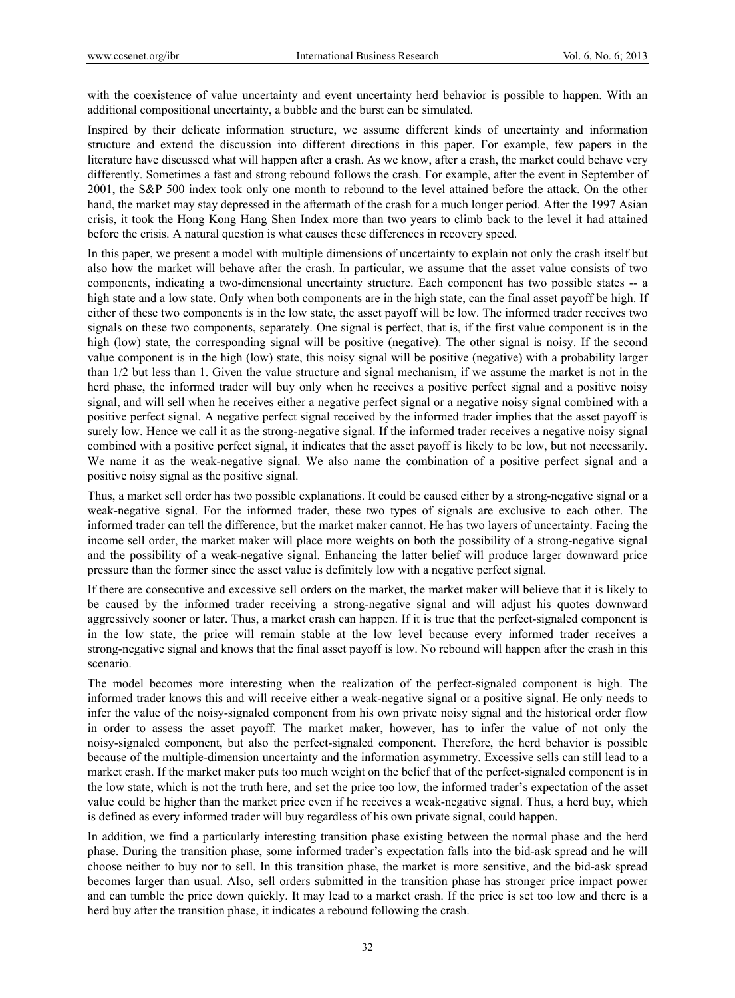with the coexistence of value uncertainty and event uncertainty herd behavior is possible to happen. With an additional compositional uncertainty, a bubble and the burst can be simulated.

Inspired by their delicate information structure, we assume different kinds of uncertainty and information structure and extend the discussion into different directions in this paper. For example, few papers in the literature have discussed what will happen after a crash. As we know, after a crash, the market could behave very differently. Sometimes a fast and strong rebound follows the crash. For example, after the event in September of 2001, the S&P 500 index took only one month to rebound to the level attained before the attack. On the other hand, the market may stay depressed in the aftermath of the crash for a much longer period. After the 1997 Asian crisis, it took the Hong Kong Hang Shen Index more than two years to climb back to the level it had attained before the crisis. A natural question is what causes these differences in recovery speed.

In this paper, we present a model with multiple dimensions of uncertainty to explain not only the crash itself but also how the market will behave after the crash. In particular, we assume that the asset value consists of two components, indicating a two-dimensional uncertainty structure. Each component has two possible states -- a high state and a low state. Only when both components are in the high state, can the final asset payoff be high. If either of these two components is in the low state, the asset payoff will be low. The informed trader receives two signals on these two components, separately. One signal is perfect, that is, if the first value component is in the high (low) state, the corresponding signal will be positive (negative). The other signal is noisy. If the second value component is in the high (low) state, this noisy signal will be positive (negative) with a probability larger than 1/2 but less than 1. Given the value structure and signal mechanism, if we assume the market is not in the herd phase, the informed trader will buy only when he receives a positive perfect signal and a positive noisy signal, and will sell when he receives either a negative perfect signal or a negative noisy signal combined with a positive perfect signal. A negative perfect signal received by the informed trader implies that the asset payoff is surely low. Hence we call it as the strong-negative signal. If the informed trader receives a negative noisy signal combined with a positive perfect signal, it indicates that the asset payoff is likely to be low, but not necessarily. We name it as the weak-negative signal. We also name the combination of a positive perfect signal and a positive noisy signal as the positive signal.

Thus, a market sell order has two possible explanations. It could be caused either by a strong-negative signal or a weak-negative signal. For the informed trader, these two types of signals are exclusive to each other. The informed trader can tell the difference, but the market maker cannot. He has two layers of uncertainty. Facing the income sell order, the market maker will place more weights on both the possibility of a strong-negative signal and the possibility of a weak-negative signal. Enhancing the latter belief will produce larger downward price pressure than the former since the asset value is definitely low with a negative perfect signal.

If there are consecutive and excessive sell orders on the market, the market maker will believe that it is likely to be caused by the informed trader receiving a strong-negative signal and will adjust his quotes downward aggressively sooner or later. Thus, a market crash can happen. If it is true that the perfect-signaled component is in the low state, the price will remain stable at the low level because every informed trader receives a strong-negative signal and knows that the final asset payoff is low. No rebound will happen after the crash in this scenario.

The model becomes more interesting when the realization of the perfect-signaled component is high. The informed trader knows this and will receive either a weak-negative signal or a positive signal. He only needs to infer the value of the noisy-signaled component from his own private noisy signal and the historical order flow in order to assess the asset payoff. The market maker, however, has to infer the value of not only the noisy-signaled component, but also the perfect-signaled component. Therefore, the herd behavior is possible because of the multiple-dimension uncertainty and the information asymmetry. Excessive sells can still lead to a market crash. If the market maker puts too much weight on the belief that of the perfect-signaled component is in the low state, which is not the truth here, and set the price too low, the informed trader's expectation of the asset value could be higher than the market price even if he receives a weak-negative signal. Thus, a herd buy, which is defined as every informed trader will buy regardless of his own private signal, could happen.

In addition, we find a particularly interesting transition phase existing between the normal phase and the herd phase. During the transition phase, some informed trader's expectation falls into the bid-ask spread and he will choose neither to buy nor to sell. In this transition phase, the market is more sensitive, and the bid-ask spread becomes larger than usual. Also, sell orders submitted in the transition phase has stronger price impact power and can tumble the price down quickly. It may lead to a market crash. If the price is set too low and there is a herd buy after the transition phase, it indicates a rebound following the crash.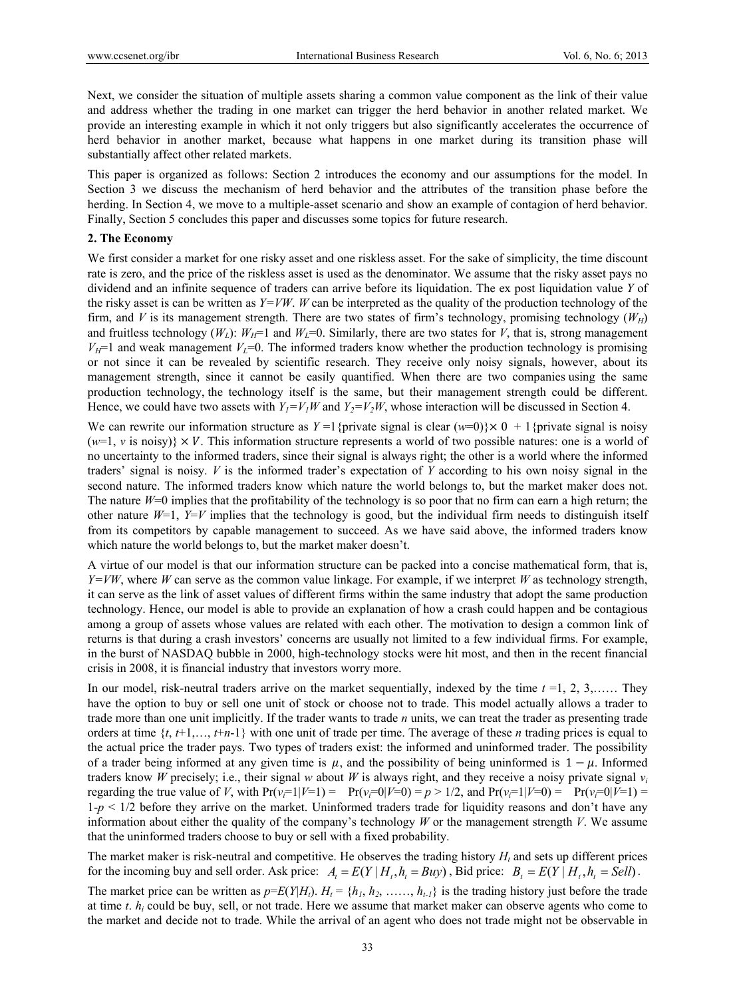Next, we consider the situation of multiple assets sharing a common value component as the link of their value and address whether the trading in one market can trigger the herd behavior in another related market. We provide an interesting example in which it not only triggers but also significantly accelerates the occurrence of herd behavior in another market, because what happens in one market during its transition phase will substantially affect other related markets.

This paper is organized as follows: Section 2 introduces the economy and our assumptions for the model. In Section 3 we discuss the mechanism of herd behavior and the attributes of the transition phase before the herding. In Section 4, we move to a multiple-asset scenario and show an example of contagion of herd behavior. Finally, Section 5 concludes this paper and discusses some topics for future research.

#### **2. The Economy**

We first consider a market for one risky asset and one riskless asset. For the sake of simplicity, the time discount rate is zero, and the price of the riskless asset is used as the denominator. We assume that the risky asset pays no dividend and an infinite sequence of traders can arrive before its liquidation. The ex post liquidation value *Y* of the risky asset is can be written as  $Y=VW$ . *W* can be interpreted as the quality of the production technology of the firm, and *V* is its management strength. There are two states of firm's technology, promising technology  $(W_H)$ and fruitless technology  $(W_L)$ :  $W_H$ =1 and  $W_L$ =0. Similarly, there are two states for *V*, that is, strong management  $V_H$ =1 and weak management  $V_L$ =0. The informed traders know whether the production technology is promising or not since it can be revealed by scientific research. They receive only noisy signals, however, about its management strength, since it cannot be easily quantified. When there are two companies using the same production technology, the technology itself is the same, but their management strength could be different. Hence, we could have two assets with  $Y_1 = V_1W$  and  $Y_2 = V_2W$ , whose interaction will be discussed in Section 4.

We can rewrite our information structure as  $Y = 1$  {private signal is clear ( $w=0$ )} $\times 0 + 1$  {private signal is noisy  $(w=1, v \text{ is noisy}) \times V$ . This information structure represents a world of two possible natures: one is a world of no uncertainty to the informed traders, since their signal is always right; the other is a world where the informed traders' signal is noisy. *V* is the informed trader's expectation of *Y* according to his own noisy signal in the second nature. The informed traders know which nature the world belongs to, but the market maker does not. The nature *W*=0 implies that the profitability of the technology is so poor that no firm can earn a high return; the other nature  $W=1$ ,  $Y=V$  implies that the technology is good, but the individual firm needs to distinguish itself from its competitors by capable management to succeed. As we have said above, the informed traders know which nature the world belongs to, but the market maker doesn't.

A virtue of our model is that our information structure can be packed into a concise mathematical form, that is, *Y=VW*, where *W* can serve as the common value linkage. For example, if we interpret *W* as technology strength, it can serve as the link of asset values of different firms within the same industry that adopt the same production technology. Hence, our model is able to provide an explanation of how a crash could happen and be contagious among a group of assets whose values are related with each other. The motivation to design a common link of returns is that during a crash investors' concerns are usually not limited to a few individual firms. For example, in the burst of NASDAQ bubble in 2000, high-technology stocks were hit most, and then in the recent financial crisis in 2008, it is financial industry that investors worry more.

In our model, risk-neutral traders arrive on the market sequentially, indexed by the time *t* =1, 2, 3,…… They have the option to buy or sell one unit of stock or choose not to trade. This model actually allows a trader to trade more than one unit implicitly. If the trader wants to trade *n* units, we can treat the trader as presenting trade orders at time {*t*, *t*+1,…, *t*+*n*-1} with one unit of trade per time. The average of these *n* trading prices is equal to the actual price the trader pays. Two types of traders exist: the informed and uninformed trader. The possibility of a trader being informed at any given time is  $\mu$ , and the possibility of being uninformed is  $1-\mu$ . Informed traders know *W* precisely; i.e., their signal *w* about *W* is always right, and they receive a noisy private signal  $v_i$ regarding the true value of *V*, with  $Pr(v_i=1|V=1) = Pr(v_i=0|V=0) = p > 1/2$ , and  $Pr(v_i=1|V=0) = Pr(v_i=0|V=1) =$  $1-p \leq 1/2$  before they arrive on the market. Uninformed traders trade for liquidity reasons and don't have any information about either the quality of the company's technology *W* or the management strength *V*. We assume that the uninformed traders choose to buy or sell with a fixed probability.

The market maker is risk-neutral and competitive. He observes the trading history  $H_t$  and sets up different prices for the incoming buy and sell order. Ask price:  $A_i = E(Y | H_i, h_i = Buy)$ , Bid price:  $B_i = E(Y | H_i, h_i = Sell)$ .

The market price can be written as  $p=E(Y|H_t)$ .  $H_t = \{h_1, h_2, \ldots, h_{t-1}\}$  is the trading history just before the trade at time  $t$ .  $h_i$  could be buy, sell, or not trade. Here we assume that market maker can observe agents who come to the market and decide not to trade. While the arrival of an agent who does not trade might not be observable in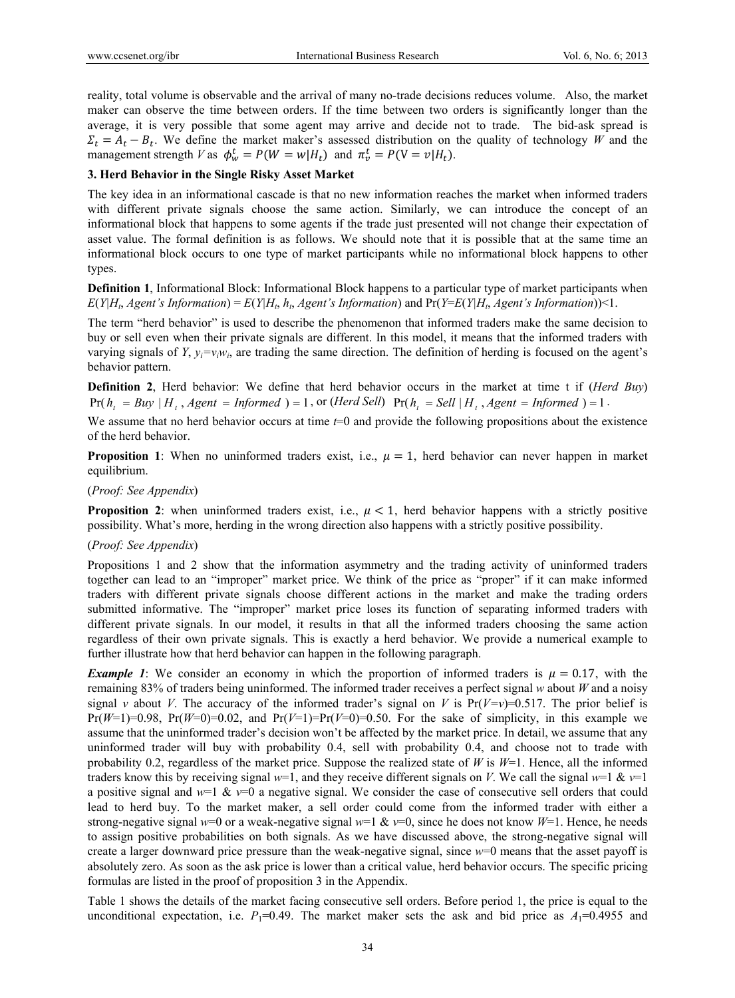reality, total volume is observable and the arrival of many no-trade decisions reduces volume. Also, the market maker can observe the time between orders. If the time between two orders is significantly longer than the average, it is very possible that some agent may arrive and decide not to trade. The bid-ask spread is  $\Sigma_t = A_t - B_t$ . We define the market maker's assessed distribution on the quality of technology *W* and the management strength *V* as  $\phi_w^t = P(W = w | H_t)$  and  $\pi_v^t = P(V = v | H_t)$ .

## **3. Herd Behavior in the Single Risky Asset Market**

The key idea in an informational cascade is that no new information reaches the market when informed traders with different private signals choose the same action. Similarly, we can introduce the concept of an informational block that happens to some agents if the trade just presented will not change their expectation of asset value. The formal definition is as follows. We should note that it is possible that at the same time an informational block occurs to one type of market participants while no informational block happens to other types.

**Definition 1**, Informational Block: Informational Block happens to a particular type of market participants when  $E(Y|H_t, A$ gent's Information) =  $E(Y|H_t, h_t, A$ gent's Information) and Pr(*Y*= $E(Y|H_t, A$ gent's Information))<1.

The term "herd behavior" is used to describe the phenomenon that informed traders make the same decision to buy or sell even when their private signals are different. In this model, it means that the informed traders with varying signals of *Y*,  $y_i = v_i w_i$ , are trading the same direction. The definition of herding is focused on the agent's behavior pattern.

**Definition 2**, Herd behavior: We define that herd behavior occurs in the market at time t if (*Herd Buy*)  $Pr(h_i = Buy \mid H_i, Agent = Informed) = 1$ , or (*Herd Sell*)  $Pr(h_i = Sell \mid H_i, Agent = Informed) = 1$ .

We assume that no herd behavior occurs at time  $t=0$  and provide the following propositions about the existence of the herd behavior.

**Proposition 1**: When no uninformed traders exist, i.e.,  $\mu = 1$ , herd behavior can never happen in market equilibrium.

# (*Proof: See Appendix*)

**Proposition 2:** when uninformed traders exist, i.e.,  $\mu < 1$ , herd behavior happens with a strictly positive possibility. What's more, herding in the wrong direction also happens with a strictly positive possibility.

## (*Proof: See Appendix*)

Propositions 1 and 2 show that the information asymmetry and the trading activity of uninformed traders together can lead to an "improper" market price. We think of the price as "proper" if it can make informed traders with different private signals choose different actions in the market and make the trading orders submitted informative. The "improper" market price loses its function of separating informed traders with different private signals. In our model, it results in that all the informed traders choosing the same action regardless of their own private signals. This is exactly a herd behavior. We provide a numerical example to further illustrate how that herd behavior can happen in the following paragraph.

*Example 1*: We consider an economy in which the proportion of informed traders is  $\mu = 0.17$ , with the remaining 83% of traders being uninformed. The informed trader receives a perfect signal *w* about *W* and a noisy signal *v* about *V*. The accuracy of the informed trader's signal on *V* is  $Pr(V=v)=0.517$ . The prior belief is  $Pr(W=1)=0.98$ ,  $Pr(W=0)=0.02$ , and  $Pr(V=1)=Pr(V=0)=0.50$ . For the sake of simplicity, in this example we assume that the uninformed trader's decision won't be affected by the market price. In detail, we assume that any uninformed trader will buy with probability 0.4, sell with probability 0.4, and choose not to trade with probability 0.2, regardless of the market price. Suppose the realized state of *W* is *W*=1. Hence, all the informed traders know this by receiving signal  $w=1$ , and they receive different signals on *V*. We call the signal  $w=1$  &  $v=1$ a positive signal and  $w=1$  &  $v=0$  a negative signal. We consider the case of consecutive sell orders that could lead to herd buy. To the market maker, a sell order could come from the informed trader with either a strong-negative signal  $w=0$  or a weak-negative signal  $w=1$  &  $v=0$ , since he does not know  $W=1$ . Hence, he needs to assign positive probabilities on both signals. As we have discussed above, the strong-negative signal will create a larger downward price pressure than the weak-negative signal, since *w*=0 means that the asset payoff is absolutely zero. As soon as the ask price is lower than a critical value, herd behavior occurs. The specific pricing formulas are listed in the proof of proposition 3 in the Appendix.

Table 1 shows the details of the market facing consecutive sell orders. Before period 1, the price is equal to the unconditional expectation, i.e.  $P_1$ =0.49. The market maker sets the ask and bid price as  $A_1$ =0.4955 and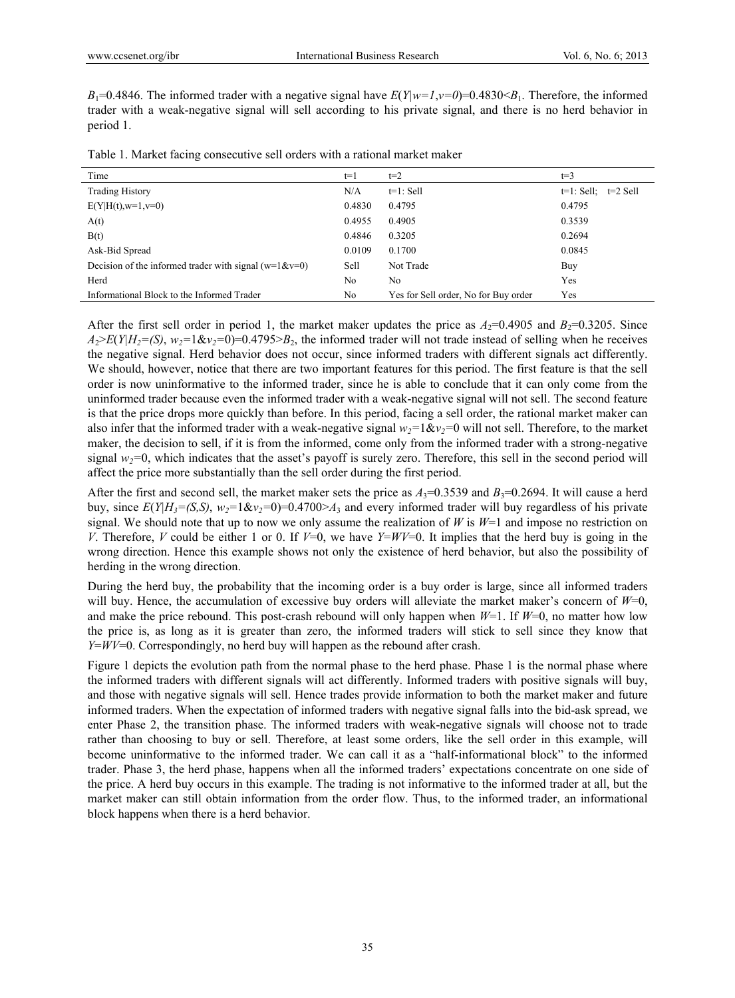*B*<sub>1</sub>=0.4846. The informed trader with a negative signal have  $E(Y|w=1,v=0)$ =0.4830<*B*<sub>1</sub>. Therefore, the informed trader with a weak-negative signal will sell according to his private signal, and there is no herd behavior in period 1.

| Time                                                          | $t=1$  | $t=2$                                | $t=3$                    |
|---------------------------------------------------------------|--------|--------------------------------------|--------------------------|
| <b>Trading History</b>                                        | N/A    | $t=1$ : Sell                         | $t=1$ : Sell; $t=2$ Sell |
| $E(Y H(t), w=1, v=0)$                                         | 0.4830 | 0.4795                               | 0.4795                   |
| A(t)                                                          | 0.4955 | 0.4905                               | 0.3539                   |
| B(t)                                                          | 0.4846 | 0.3205                               | 0.2694                   |
| Ask-Bid Spread                                                | 0.0109 | 0.1700                               | 0.0845                   |
| Decision of the informed trader with signal ( $w=1$ & $v=0$ ) | Sell   | Not Trade                            | Buy                      |
| Herd                                                          | No     | No                                   | Yes                      |
| Informational Block to the Informed Trader                    | No     | Yes for Sell order, No for Buy order | Yes                      |

Table 1. Market facing consecutive sell orders with a rational market maker

After the first sell order in period 1, the market maker updates the price as  $A_2=0.4905$  and  $B_2=0.3205$ . Since  $A_2 \ge E(Y|H_2 = (S), w_2 = 1 \& w_2 = 0) = 0.4795 > B_2$ , the informed trader will not trade instead of selling when he receives the negative signal. Herd behavior does not occur, since informed traders with different signals act differently. We should, however, notice that there are two important features for this period. The first feature is that the sell order is now uninformative to the informed trader, since he is able to conclude that it can only come from the uninformed trader because even the informed trader with a weak-negative signal will not sell. The second feature is that the price drops more quickly than before. In this period, facing a sell order, the rational market maker can also infer that the informed trader with a weak-negative signal  $w_2=1&&y_2=0$  will not sell. Therefore, to the market maker, the decision to sell, if it is from the informed, come only from the informed trader with a strong-negative signal  $w_2=0$ , which indicates that the asset's payoff is surely zero. Therefore, this sell in the second period will affect the price more substantially than the sell order during the first period.

After the first and second sell, the market maker sets the price as  $A_3=0.3539$  and  $B_3=0.2694$ . It will cause a herd buy, since  $E(Y|H_3=(S,S), w_2=1&\&v_2=0)=0.4700>A_3$  and every informed trader will buy regardless of his private signal. We should note that up to now we only assume the realization of *W* is  $W=1$  and impose no restriction on *V*. Therefore, *V* could be either 1 or 0. If  $V=0$ , we have  $Y=WV=0$ . It implies that the herd buy is going in the wrong direction. Hence this example shows not only the existence of herd behavior, but also the possibility of herding in the wrong direction.

During the herd buy, the probability that the incoming order is a buy order is large, since all informed traders will buy. Hence, the accumulation of excessive buy orders will alleviate the market maker's concern of *W*=0, and make the price rebound. This post-crash rebound will only happen when *W*=1. If *W*=0, no matter how low the price is, as long as it is greater than zero, the informed traders will stick to sell since they know that *Y*=*WV*=0. Correspondingly, no herd buy will happen as the rebound after crash.

Figure 1 depicts the evolution path from the normal phase to the herd phase. Phase 1 is the normal phase where the informed traders with different signals will act differently. Informed traders with positive signals will buy, and those with negative signals will sell. Hence trades provide information to both the market maker and future informed traders. When the expectation of informed traders with negative signal falls into the bid-ask spread, we enter Phase 2, the transition phase. The informed traders with weak-negative signals will choose not to trade rather than choosing to buy or sell. Therefore, at least some orders, like the sell order in this example, will become uninformative to the informed trader. We can call it as a "half-informational block" to the informed trader. Phase 3, the herd phase, happens when all the informed traders' expectations concentrate on one side of the price. A herd buy occurs in this example. The trading is not informative to the informed trader at all, but the market maker can still obtain information from the order flow. Thus, to the informed trader, an informational block happens when there is a herd behavior.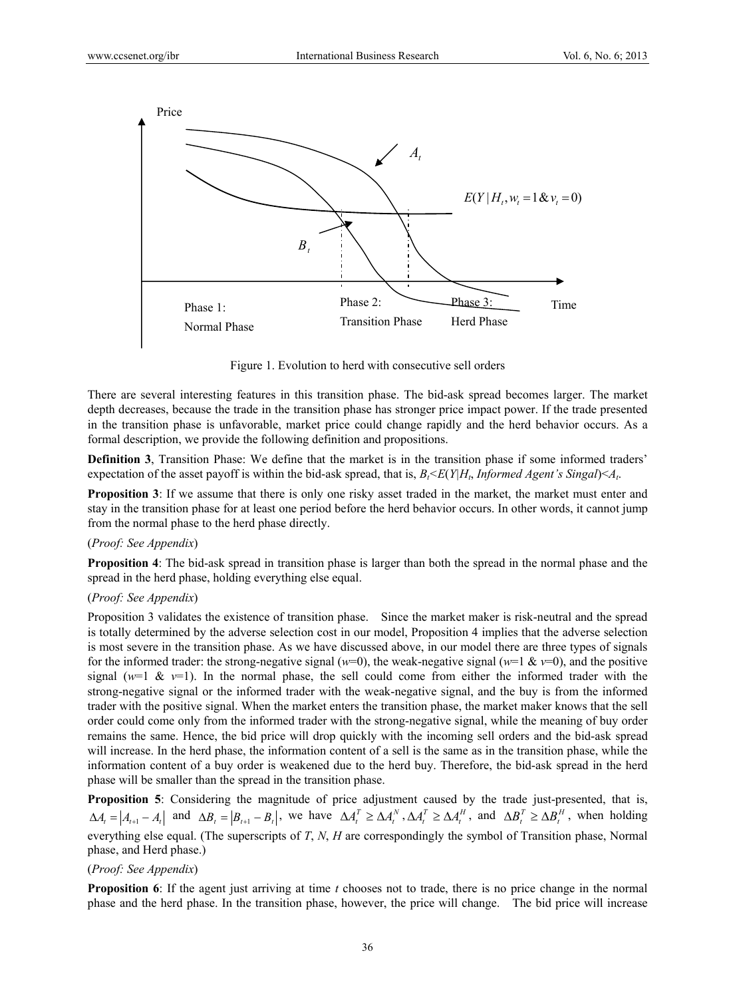

Figure 1. Evolution to herd with consecutive sell orders

There are several interesting features in this transition phase. The bid-ask spread becomes larger. The market depth decreases, because the trade in the transition phase has stronger price impact power. If the trade presented in the transition phase is unfavorable, market price could change rapidly and the herd behavior occurs. As a formal description, we provide the following definition and propositions.

**Definition 3**, Transition Phase: We define that the market is in the transition phase if some informed traders' expectation of the asset payoff is within the bid-ask spread, that is,  $B_t \leq E(Y|H_t, \text{Informed Agent's Singal}) \leq A_t$ .

**Proposition 3**: If we assume that there is only one risky asset traded in the market, the market must enter and stay in the transition phase for at least one period before the herd behavior occurs. In other words, it cannot jump from the normal phase to the herd phase directly.

## (*Proof: See Appendix*)

**Proposition 4**: The bid-ask spread in transition phase is larger than both the spread in the normal phase and the spread in the herd phase, holding everything else equal.

# (*Proof: See Appendix*)

Proposition 3 validates the existence of transition phase. Since the market maker is risk-neutral and the spread is totally determined by the adverse selection cost in our model, Proposition 4 implies that the adverse selection is most severe in the transition phase. As we have discussed above, in our model there are three types of signals for the informed trader: the strong-negative signal ( $w=0$ ), the weak-negative signal ( $w=1$  &  $v=0$ ), and the positive signal ( $w=1$  &  $v=1$ ). In the normal phase, the sell could come from either the informed trader with the strong-negative signal or the informed trader with the weak-negative signal, and the buy is from the informed trader with the positive signal. When the market enters the transition phase, the market maker knows that the sell order could come only from the informed trader with the strong-negative signal, while the meaning of buy order remains the same. Hence, the bid price will drop quickly with the incoming sell orders and the bid-ask spread will increase. In the herd phase, the information content of a sell is the same as in the transition phase, while the information content of a buy order is weakened due to the herd buy. Therefore, the bid-ask spread in the herd phase will be smaller than the spread in the transition phase.

**Proposition 5**: Considering the magnitude of price adjustment caused by the trade just-presented, that is,  $\Delta A_t = |A_{t+1} - A_t|$  and  $\Delta B_t = |B_{t+1} - B_t|$ , we have  $\Delta A_t^T \ge \Delta A_t^N$ ,  $\Delta A_t^T \ge \Delta A_t^H$ , and  $\Delta B_t^T \ge \Delta B_t^H$ , when holding everything else equal. (The superscripts of *T*, *N*, *H* are correspondingly the symbol of Transition phase, Normal phase, and Herd phase.)

#### (*Proof: See Appendix*)

**Proposition 6**: If the agent just arriving at time *t* chooses not to trade, there is no price change in the normal phase and the herd phase. In the transition phase, however, the price will change. The bid price will increase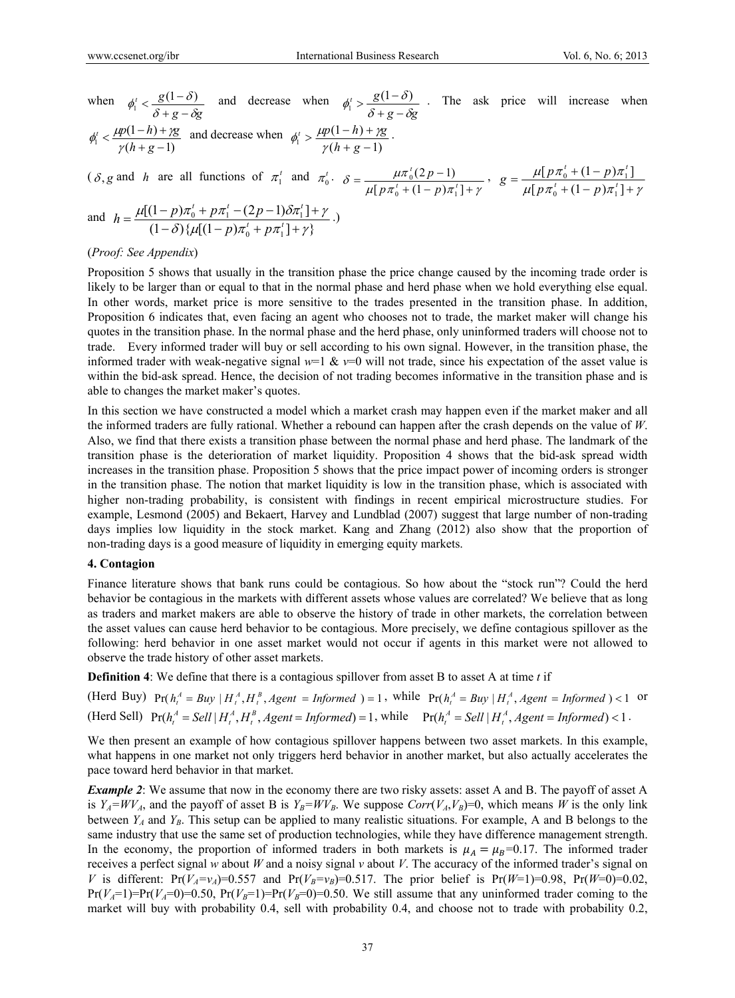when  $g - \delta g$ *<sup>t</sup> g*  $\phi_1' < \frac{g(1-\delta)}{\delta+g-\delta g}$  and decrease when  $\phi_1' > \frac{g(1-\delta)}{\delta+g-\delta g}$ *<sup>t</sup> g*  $\phi_1' > \frac{g(1-\delta)}{\delta+g-\delta g}$ . The ask price will increase when  $(h+g-1)$  $(1 - h)$  $\gamma$ <sup>1</sup>  $\gamma$ (h+g- $\frac{\mu p(1-h)+\mu}{\gamma(h+g-1)}$  $\mu_p$   $\mu_p(1-h) + \gamma g$  $\phi_1' < \frac{\mu p(1-n) + \gamma g}{\gamma(h+g-1)}$  and decrease when  $\phi_1' > \frac{\mu p(1-n) + \gamma g}{\gamma(h+g-1)}$  $(1 - h)$  $\gamma_1 > \frac{}{\gamma(h+g-1)}$  $> \frac{\mu p(1-h)+\mu}{\gamma(h+g-1)}$  $\mu_p$   $\mu_p(1-h) + \gamma g$  $\phi_1^t > \frac{\mu p(1-n) + \gamma g}{\gamma(h+g-1)}$ .

$$
(\delta, g \text{ and } h \text{ are all functions of } \pi_1' \text{ and } \pi_0' \cdot \delta = \frac{\mu \pi_0^t (2p - 1)}{\mu [p \pi_0^t + (1 - p)\pi_1^t] + \gamma}, \ g = \frac{\mu [p \pi_0^t + (1 - p)\pi_1^t]}{\mu [p \pi_0^t + (1 - p)\pi_1^t] + \gamma}
$$

and 
$$
h = \frac{\mu[(1-p)\pi_0^t + p\pi_1^t - (2p-1)\delta\pi_1^t] + \gamma}{(1-\delta)\{\mu[(1-p)\pi_0^t + p\pi_1^t] + \gamma\}}.
$$

## (*Proof: See Appendix*)

Proposition 5 shows that usually in the transition phase the price change caused by the incoming trade order is likely to be larger than or equal to that in the normal phase and herd phase when we hold everything else equal. In other words, market price is more sensitive to the trades presented in the transition phase. In addition, Proposition 6 indicates that, even facing an agent who chooses not to trade, the market maker will change his quotes in the transition phase. In the normal phase and the herd phase, only uninformed traders will choose not to trade. Every informed trader will buy or sell according to his own signal. However, in the transition phase, the informed trader with weak-negative signal  $w=1$  &  $v=0$  will not trade, since his expectation of the asset value is within the bid-ask spread. Hence, the decision of not trading becomes informative in the transition phase and is able to changes the market maker's quotes.

In this section we have constructed a model which a market crash may happen even if the market maker and all the informed traders are fully rational. Whether a rebound can happen after the crash depends on the value of *W*. Also, we find that there exists a transition phase between the normal phase and herd phase. The landmark of the transition phase is the deterioration of market liquidity. Proposition 4 shows that the bid-ask spread width increases in the transition phase. Proposition 5 shows that the price impact power of incoming orders is stronger in the transition phase. The notion that market liquidity is low in the transition phase, which is associated with higher non-trading probability, is consistent with findings in recent empirical microstructure studies. For example, Lesmond (2005) and Bekaert, Harvey and Lundblad (2007) suggest that large number of non-trading days implies low liquidity in the stock market. Kang and Zhang (2012) also show that the proportion of non-trading days is a good measure of liquidity in emerging equity markets.

#### **4. Contagion**

Finance literature shows that bank runs could be contagious. So how about the "stock run"? Could the herd behavior be contagious in the markets with different assets whose values are correlated? We believe that as long as traders and market makers are able to observe the history of trade in other markets, the correlation between the asset values can cause herd behavior to be contagious. More precisely, we define contagious spillover as the following: herd behavior in one asset market would not occur if agents in this market were not allowed to observe the trade history of other asset markets.

**Definition 4**: We define that there is a contagious spillover from asset B to asset A at time *t* if

(Herd Buy)  $Pr(h_i^A = Buy \mid H_i^A, H_i^B, Agent = Informed) = 1$ , while  $Pr(h_i^A = Buy \mid H_i^A, Agent = Informed) < 1$  or (Herd Sell)  $Pr(h_t^A = Sell | H_t^A, H_t^B, Agent = Informed) = 1$ , while  $Pr(h_t^A = Sell | H_t^A, Agent = Informed) < 1$ .

We then present an example of how contagious spillover happens between two asset markets. In this example, what happens in one market not only triggers herd behavior in another market, but also actually accelerates the pace toward herd behavior in that market.

*Example 2*: We assume that now in the economy there are two risky assets: asset A and B. The payoff of asset A is  $Y_A = WV_A$ , and the payoff of asset B is  $Y_B = WV_B$ . We suppose  $Corr(V_A, V_B) = 0$ , which means *W* is the only link between  $Y_A$  and  $Y_B$ . This setup can be applied to many realistic situations. For example, A and B belongs to the same industry that use the same set of production technologies, while they have difference management strength. In the economy, the proportion of informed traders in both markets is  $\mu_A = \mu_B = 0.17$ . The informed trader receives a perfect signal *w* about *W* and a noisy signal *v* about *V*. The accuracy of the informed trader's signal on *V* is different: Pr( $V_A = v_A$ )=0.557 and Pr( $V_B = v_B$ )=0.517. The prior belief is Pr( $W=1$ )=0.98, Pr( $W=0$ )=0.02,  $Pr(V_A=1)=Pr(V_A=0)=0.50$ ,  $Pr(V_B=1)=Pr(V_B=0)=0.50$ . We still assume that any uninformed trader coming to the market will buy with probability 0.4, sell with probability 0.4, and choose not to trade with probability 0.2,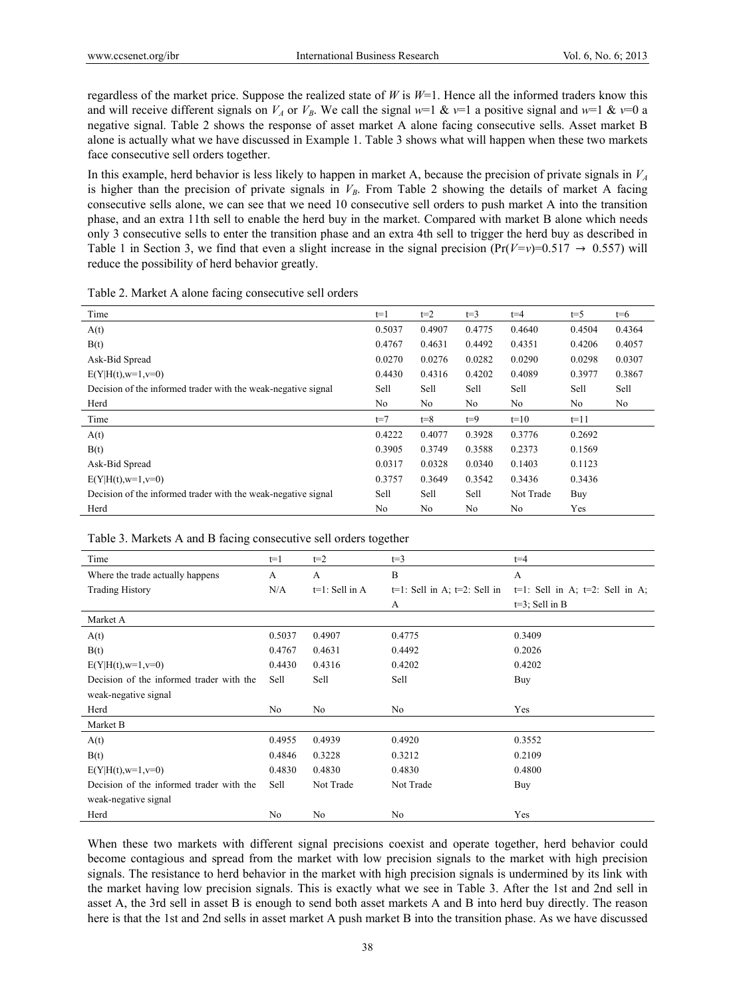regardless of the market price. Suppose the realized state of *W* is *W*=1. Hence all the informed traders know this and will receive different signals on  $V_A$  or  $V_B$ . We call the signal  $w=1$  &  $v=1$  a positive signal and  $w=1$  &  $v=0$  a negative signal. Table 2 shows the response of asset market A alone facing consecutive sells. Asset market B alone is actually what we have discussed in Example 1. Table 3 shows what will happen when these two markets face consecutive sell orders together.

In this example, herd behavior is less likely to happen in market A, because the precision of private signals in  $V_A$ is higher than the precision of private signals in  $V_B$ . From Table 2 showing the details of market A facing consecutive sells alone, we can see that we need 10 consecutive sell orders to push market A into the transition phase, and an extra 11th sell to enable the herd buy in the market. Compared with market B alone which needs only 3 consecutive sells to enter the transition phase and an extra 4th sell to trigger the herd buy as described in Table 1 in Section 3, we find that even a slight increase in the signal precision  $(\Pr(V=v)=0.517 \rightarrow 0.557)$  will reduce the possibility of herd behavior greatly.

| Time                                                          | $t=1$          | $t=2$          | $t=3$          | $t = 4$        | $t = 5$ | $t=6$  |
|---------------------------------------------------------------|----------------|----------------|----------------|----------------|---------|--------|
| A(t)                                                          | 0.5037         | 0.4907         | 0.4775         | 0.4640         | 0.4504  | 0.4364 |
| B(t)                                                          | 0.4767         | 0.4631         | 0.4492         | 0.4351         | 0.4206  | 0.4057 |
| Ask-Bid Spread                                                | 0.0270         | 0.0276         | 0.0282         | 0.0290         | 0.0298  | 0.0307 |
| $E(Y H(t), w=1, v=0)$                                         | 0.4430         | 0.4316         | 0.4202         | 0.4089         | 0.3977  | 0.3867 |
| Decision of the informed trader with the weak-negative signal | Sell           | Sell           | Sell           | Sell           | Sell    | Sell   |
| Herd                                                          | No             | No             | No             | No             | No      | No     |
| Time                                                          | $t=7$          | $t = 8$        | $t=9$          | $t=10$         | $t=11$  |        |
| A(t)                                                          | 0.4222         | 0.4077         | 0.3928         | 0.3776         | 0.2692  |        |
| B(t)                                                          | 0.3905         | 0.3749         | 0.3588         | 0.2373         | 0.1569  |        |
| Ask-Bid Spread                                                | 0.0317         | 0.0328         | 0.0340         | 0.1403         | 0.1123  |        |
| $E(Y H(t), w=1, v=0)$                                         | 0.3757         | 0.3649         | 0.3542         | 0.3436         | 0.3436  |        |
| Decision of the informed trader with the weak-negative signal | Sell           | Sell           | Sell           | Not Trade      | Buy     |        |
| Herd                                                          | N <sub>0</sub> | N <sub>0</sub> | N <sub>0</sub> | N <sub>0</sub> | Yes     |        |

Table 3. Markets A and B facing consecutive sell orders together

| Time                                     | $t=1$  | $t=2$             | $t=3$                              | $t=4$                                 |
|------------------------------------------|--------|-------------------|------------------------------------|---------------------------------------|
| Where the trade actually happens         | A      | A                 | $\mathbf B$                        | A                                     |
| <b>Trading History</b>                   | N/A    | $t=1$ : Sell in A | $t=1$ : Sell in A; $t=2$ : Sell in | $t=1$ : Sell in A; $t=2$ : Sell in A; |
|                                          |        |                   | A                                  | $t=3$ ; Sell in B                     |
| Market A                                 |        |                   |                                    |                                       |
| A(t)                                     | 0.5037 | 0.4907            | 0.4775                             | 0.3409                                |
| B(t)                                     | 0.4767 | 0.4631            | 0.4492                             | 0.2026                                |
| $E(Y H(t), w=1, v=0)$                    | 0.4430 | 0.4316            | 0.4202                             | 0.4202                                |
| Decision of the informed trader with the | Sell   | Sell              | Sell                               | Buy                                   |
| weak-negative signal                     |        |                   |                                    |                                       |
| Herd                                     | No     | No                | No                                 | Yes                                   |
| Market B                                 |        |                   |                                    |                                       |
| A(t)                                     | 0.4955 | 0.4939            | 0.4920                             | 0.3552                                |
| B(t)                                     | 0.4846 | 0.3228            | 0.3212                             | 0.2109                                |
| $E(Y H(t), w=1, v=0)$                    | 0.4830 | 0.4830            | 0.4830                             | 0.4800                                |
| Decision of the informed trader with the | Sell   | Not Trade         | Not Trade                          | Buy                                   |
| weak-negative signal                     |        |                   |                                    |                                       |
| Herd                                     | No     | No                | No                                 | Yes                                   |

When these two markets with different signal precisions coexist and operate together, herd behavior could become contagious and spread from the market with low precision signals to the market with high precision signals. The resistance to herd behavior in the market with high precision signals is undermined by its link with the market having low precision signals. This is exactly what we see in Table 3. After the 1st and 2nd sell in asset A, the 3rd sell in asset B is enough to send both asset markets A and B into herd buy directly. The reason here is that the 1st and 2nd sells in asset market A push market B into the transition phase. As we have discussed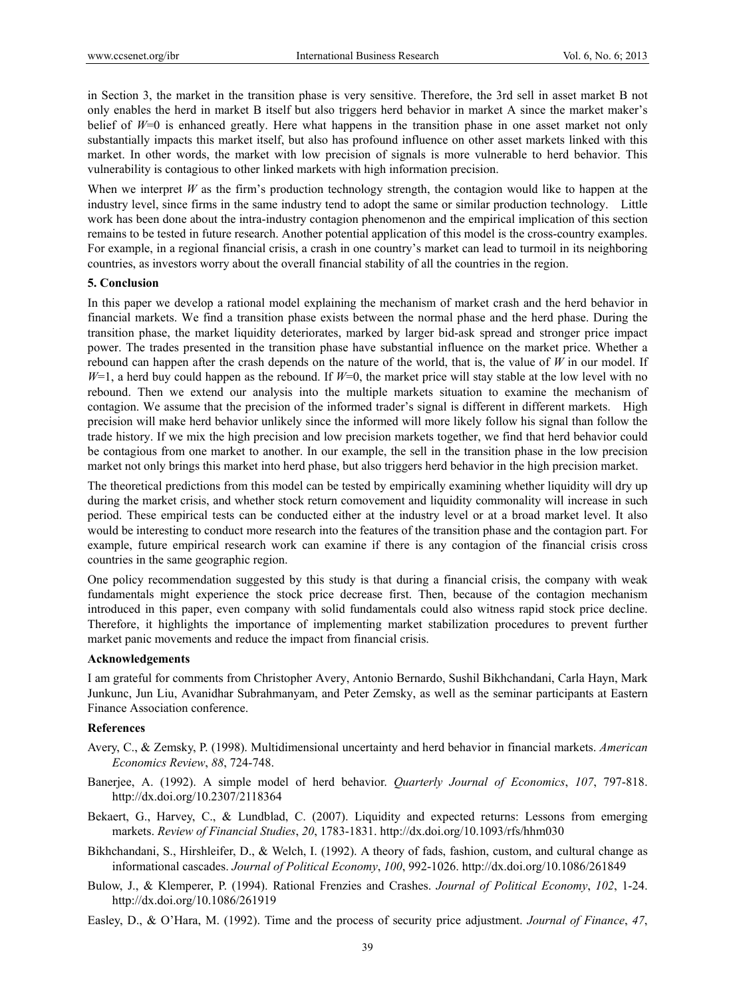in Section 3, the market in the transition phase is very sensitive. Therefore, the 3rd sell in asset market B not only enables the herd in market B itself but also triggers herd behavior in market A since the market maker's belief of *W*=0 is enhanced greatly. Here what happens in the transition phase in one asset market not only substantially impacts this market itself, but also has profound influence on other asset markets linked with this market. In other words, the market with low precision of signals is more vulnerable to herd behavior. This vulnerability is contagious to other linked markets with high information precision.

When we interpret *W* as the firm's production technology strength, the contagion would like to happen at the industry level, since firms in the same industry tend to adopt the same or similar production technology. Little work has been done about the intra-industry contagion phenomenon and the empirical implication of this section remains to be tested in future research. Another potential application of this model is the cross-country examples. For example, in a regional financial crisis, a crash in one country's market can lead to turmoil in its neighboring countries, as investors worry about the overall financial stability of all the countries in the region.

#### **5. Conclusion**

In this paper we develop a rational model explaining the mechanism of market crash and the herd behavior in financial markets. We find a transition phase exists between the normal phase and the herd phase. During the transition phase, the market liquidity deteriorates, marked by larger bid-ask spread and stronger price impact power. The trades presented in the transition phase have substantial influence on the market price. Whether a rebound can happen after the crash depends on the nature of the world, that is, the value of *W* in our model. If *W*=1, a herd buy could happen as the rebound. If *W*=0, the market price will stay stable at the low level with no rebound. Then we extend our analysis into the multiple markets situation to examine the mechanism of contagion. We assume that the precision of the informed trader's signal is different in different markets. High precision will make herd behavior unlikely since the informed will more likely follow his signal than follow the trade history. If we mix the high precision and low precision markets together, we find that herd behavior could be contagious from one market to another. In our example, the sell in the transition phase in the low precision market not only brings this market into herd phase, but also triggers herd behavior in the high precision market.

The theoretical predictions from this model can be tested by empirically examining whether liquidity will dry up during the market crisis, and whether stock return comovement and liquidity commonality will increase in such period. These empirical tests can be conducted either at the industry level or at a broad market level. It also would be interesting to conduct more research into the features of the transition phase and the contagion part. For example, future empirical research work can examine if there is any contagion of the financial crisis cross countries in the same geographic region.

One policy recommendation suggested by this study is that during a financial crisis, the company with weak fundamentals might experience the stock price decrease first. Then, because of the contagion mechanism introduced in this paper, even company with solid fundamentals could also witness rapid stock price decline. Therefore, it highlights the importance of implementing market stabilization procedures to prevent further market panic movements and reduce the impact from financial crisis.

#### **Acknowledgements**

I am grateful for comments from Christopher Avery, Antonio Bernardo, Sushil Bikhchandani, Carla Hayn, Mark Junkunc, Jun Liu, Avanidhar Subrahmanyam, and Peter Zemsky, as well as the seminar participants at Eastern Finance Association conference.

## **References**

- Avery, C., & Zemsky, P. (1998). Multidimensional uncertainty and herd behavior in financial markets. *American Economics Review*, *88*, 724-748.
- Banerjee, A. (1992). A simple model of herd behavior. *Quarterly Journal of Economics*, *107*, 797-818. http://dx.doi.org/10.2307/2118364
- Bekaert, G., Harvey, C., & Lundblad, C. (2007). Liquidity and expected returns: Lessons from emerging markets. *Review of Financial Studies*, *20*, 1783-1831. http://dx.doi.org/10.1093/rfs/hhm030
- Bikhchandani, S., Hirshleifer, D., & Welch, I. (1992). A theory of fads, fashion, custom, and cultural change as informational cascades. *Journal of Political Economy*, *100*, 992-1026. http://dx.doi.org/10.1086/261849
- Bulow, J., & Klemperer, P. (1994). Rational Frenzies and Crashes. *Journal of Political Economy*, *102*, 1-24. http://dx.doi.org/10.1086/261919
- Easley, D., & O'Hara, M. (1992). Time and the process of security price adjustment. *Journal of Finance*, *47*,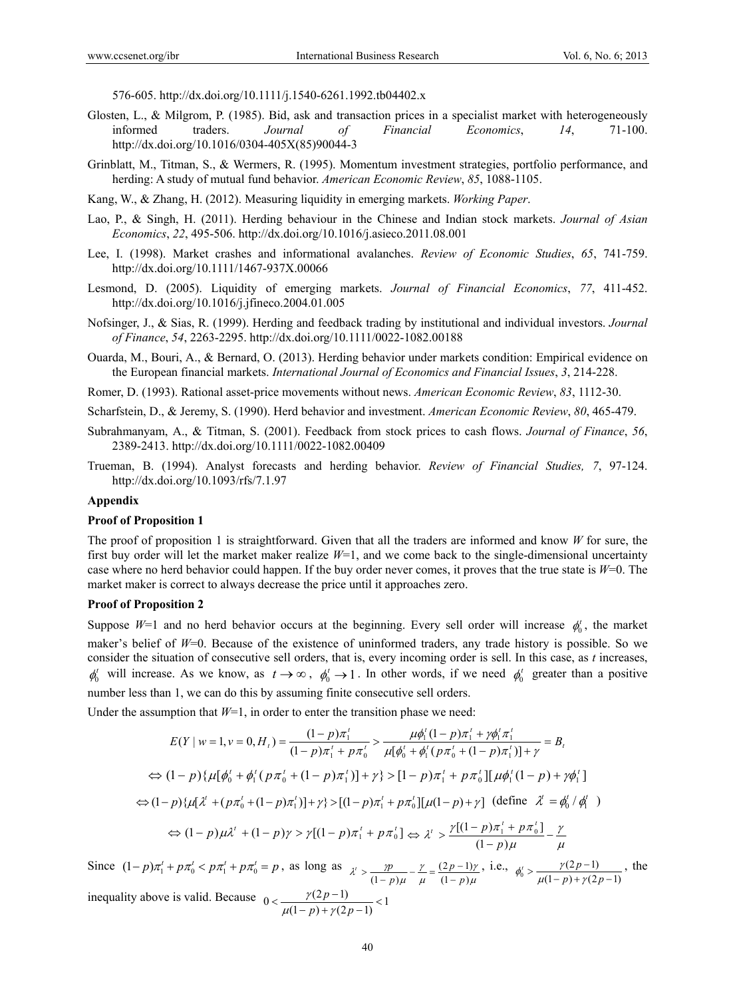576-605. http://dx.doi.org/10.1111/j.1540-6261.1992.tb04402.x

- Glosten, L., & Milgrom, P. (1985). Bid, ask and transaction prices in a specialist market with heterogeneously informed traders. *Journal of Financial Economics*, *14*, 71-100. http://dx.doi.org/10.1016/0304-405X(85)90044-3
- Grinblatt, M., Titman, S., & Wermers, R. (1995). Momentum investment strategies, portfolio performance, and herding: A study of mutual fund behavior. *American Economic Review*, *85*, 1088-1105.
- Kang, W., & Zhang, H. (2012). Measuring liquidity in emerging markets. *Working Paper*.
- Lao, P., & Singh, H. (2011). Herding behaviour in the Chinese and Indian stock markets. *Journal of Asian Economics*, *22*, 495-506. http://dx.doi.org/10.1016/j.asieco.2011.08.001
- Lee, I. (1998). Market crashes and informational avalanches. *Review of Economic Studies*, *65*, 741-759. http://dx.doi.org/10.1111/1467-937X.00066
- Lesmond, D. (2005). Liquidity of emerging markets. *Journal of Financial Economics*, *77*, 411-452. http://dx.doi.org/10.1016/j.jfineco.2004.01.005
- Nofsinger, J., & Sias, R. (1999). Herding and feedback trading by institutional and individual investors. *Journal of Finance*, *54*, 2263-2295. http://dx.doi.org/10.1111/0022-1082.00188
- Ouarda, M., Bouri, A., & Bernard, O. (2013). Herding behavior under markets condition: Empirical evidence on the European financial markets. *International Journal of Economics and Financial Issues*, *3*, 214-228.
- Romer, D. (1993). Rational asset-price movements without news. *American Economic Review*, *83*, 1112-30.
- Scharfstein, D., & Jeremy, S. (1990). Herd behavior and investment. *American Economic Review*, *80*, 465-479.
- Subrahmanyam, A., & Titman, S. (2001). Feedback from stock prices to cash flows. *Journal of Finance*, *56*, 2389-2413. http://dx.doi.org/10.1111/0022-1082.00409
- Trueman, B. (1994). Analyst forecasts and herding behavior. *Review of Financial Studies, 7*, 97-124. http://dx.doi.org/10.1093/rfs/7.1.97

#### **Appendix**

#### **Proof of Proposition 1**

The proof of proposition 1 is straightforward. Given that all the traders are informed and know *W* for sure, the first buy order will let the market maker realize *W*=1, and we come back to the single-dimensional uncertainty case where no herd behavior could happen. If the buy order never comes, it proves that the true state is *W*=0. The market maker is correct to always decrease the price until it approaches zero.

#### **Proof of Proposition 2**

Suppose  $W=1$  and no herd behavior occurs at the beginning. Every sell order will increase  $\phi_0^t$ , the market maker's belief of *W*=0. Because of the existence of uninformed traders, any trade history is possible. So we consider the situation of consecutive sell orders, that is, every incoming order is sell. In this case, as *t* increases,  $\phi_0^t$  will increase. As we know, as  $t \to \infty$ ,  $\phi_0^t \to 1$ . In other words, if we need  $\phi_0^t$  greater than a positive number less than 1, we can do this by assuming finite consecutive sell orders.

Under the assumption that  $W=1$ , in order to enter the transition phase we need:

$$
E(Y \mid w=1, v=0, H_{i}) = \frac{(1-p)\pi_{1}^{i}}{(1-p)\pi_{1}^{i} + p\pi_{0}^{i}} > \frac{\mu\phi_{1}^{i}(1-p)\pi_{1}^{i} + \gamma\phi_{1}^{i}\pi_{1}^{i}}{\mu[\phi_{0}^{i} + \phi_{1}^{i}(p\pi_{0}^{i} + (1-p)\pi_{1}^{i})] + \gamma} = B_{i}
$$
  
\n
$$
\Leftrightarrow (1-p)\{\mu[\phi_{0}^{i} + \phi_{1}^{i}(p\pi_{0}^{i} + (1-p)\pi_{1}^{i})] + \gamma\} > [1-p)\pi_{1}^{i} + p\pi_{0}^{i}][\mu\phi_{1}^{i}(1-p) + \gamma\phi_{1}^{i}]
$$
  
\n
$$
\Leftrightarrow (1-p)\{\mu[\lambda^{i} + (p\pi_{0}^{i} + (1-p)\pi_{1}^{i})] + \gamma\} > [(1-p)\pi_{1}^{i} + p\pi_{0}^{i}][\mu(1-p) + \gamma] \text{ (define } \lambda^{i} = \phi_{0}^{i} / \phi_{1}^{i})
$$
  
\n
$$
\Leftrightarrow (1-p)\mu\lambda^{i} + (1-p)\gamma > \gamma[(1-p)\pi_{1}^{i} + p\pi_{0}^{i}] \Leftrightarrow \lambda^{i} > \frac{\gamma[(1-p)\pi_{1}^{i} + p\pi_{0}^{i}] - \gamma}{(1-p)\mu} - \frac{\gamma}{\mu}
$$

Since  $(1-p)\pi_1' + p\pi_0' < p\pi_1' + p\pi_0' = p$ , as long as  $\chi' > \frac{p}{(1-p)\mu} - \frac{\gamma}{\mu} = \frac{(2p-1)\gamma}{(1-p)\mu}$ V μ γ  $\lambda' > \frac{\gamma p}{(1-p)\mu} - \frac{\gamma}{\mu} = \frac{(2p-1)}{(1-p)}$  $(2p-1)$  $(1-p)\mu \mu (1-p)$ *p p*  $\eta$  *p*  $> \frac{p}{(1-p)\mu} - \frac{\gamma}{\mu} = \frac{(2p-1)\gamma}{(1-p)\mu}$ , i.e.,  $\phi_0' > \frac{\gamma(2p-1)}{\mu(1-p)+\gamma(2p-1)}$  $(2p-1)$  $\frac{\gamma(2p-1)}{\mu(1-p)+\gamma(2p-1)}$  $\phi_0^t > \frac{\gamma(2p-1)}{\mu(1-p) + \gamma(2p-1)}$ , the inequality above is valid. Because  $0 < \frac{\gamma(2p-1)}{\mu(1-p) + \gamma(2p-1)} < 1$ *p*  $\mu(1-p)+\gamma$  $\frac{\gamma(2p-1)}{2}$  < 1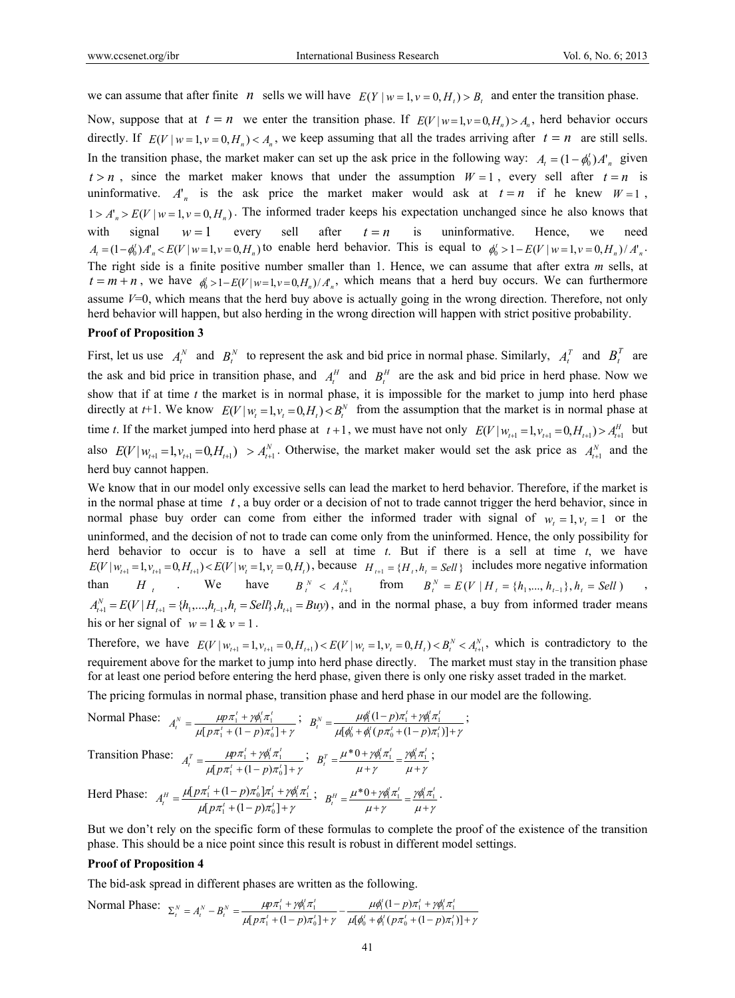we can assume that after finite *n* sells we will have  $E(Y | w = 1, v = 0, H_t) > B_t$  and enter the transition phase.

Now, suppose that at  $t = n$  we enter the transition phase. If  $E(V | w=1, v=0, H_n) > A_n$ , herd behavior occurs directly. If  $E(V | w = 1, v = 0, H_n) < A_n$ , we keep assuming that all the trades arriving after  $t = n$  are still sells. In the transition phase, the market maker can set up the ask price in the following way:  $A_t = (1 - \phi_0^t) A_n^t$  given  $t > n$ , since the market maker knows that under the assumption  $W = 1$ , every sell after  $t = n$  is uninformative.  $A_n^{\dagger}$  is the ask price the market maker would ask at  $t = n$  if he knew  $W = 1$ ,  $1 > A'_n > E(V | w = 1, v = 0, H_n)$ . The informed trader keeps his expectation unchanged since he also knows that with signal  $w = 1$  every sell after  $t = n$  is uninformative. Hence, we need  $A_{t} = (1 - \phi_{0}^{t})A_{n}^{t} < E(V|w=1, v=0, H_{n})$  to enable herd behavior. This is equal to  $\phi_{0}^{t} > 1 - E(V|w=1, v=0, H_{n})/A_{n}^{t}$ . The right side is a finite positive number smaller than 1. Hence, we can assume that after extra *m* sells, at  $t = m + n$ , we have  $\phi_0' > 1 - E(V | w = 1, v = 0, H_n) / A_n$ , which means that a herd buy occurs. We can furthermore assume *V*=0, which means that the herd buy above is actually going in the wrong direction. Therefore, not only herd behavior will happen, but also herding in the wrong direction will happen with strict positive probability.

#### **Proof of Proposition 3**

First, let us use  $A_t^N$  and  $B_t^N$  to represent the ask and bid price in normal phase. Similarly,  $A_t^T$  and  $B_t^T$  are the ask and bid price in transition phase, and  $A_t^H$  and  $B_t^H$  are the ask and bid price in herd phase. Now we show that if at time *t* the market is in normal phase, it is impossible for the market to jump into herd phase directly at *t*+1. We know  $E(V | w_t = 1, v_t = 0, H_t) < B_t^N$  from the assumption that the market is in normal phase at time *t*. If the market jumped into herd phase at  $t+1$ , we must have not only  $E(V|W_{t+1}=1, V_{t+1}=0, H_{t+1}) > A_{t+1}^H$  but also  $E(V | W_{t+1} = 1, V_{t+1} = 0, H_{t+1}) > A_{t+1}^N$ . Otherwise, the market maker would set the ask price as  $A_{t+1}^N$  and the herd buy cannot happen.

We know that in our model only excessive sells can lead the market to herd behavior. Therefore, if the market is in the normal phase at time  $t<sub>1</sub>$ , a buy order or a decision of not to trade cannot trigger the herd behavior, since in normal phase buy order can come from either the informed trader with signal of  $w_t = 1, v_t = 1$  or the uninformed, and the decision of not to trade can come only from the uninformed. Hence, the only possibility for herd behavior to occur is to have a sell at time *t*. But if there is a sell at time *t*, we have  $E(V|W_{t+1}=1, V_{t+1}=0, H_{t+1}) < E(V|W_t=1, V_t=0, H_t)$ , because  $H_{t+1} = {H_t, h_t = Sell}$  includes more negative information than  $H_t$  We have  $B_t^N < A_{t+1}^N$  from  $B_t^N = E(V | H_t = \{h_1, ..., h_{t-1}\}, h_t = Sell)$ ,  $A_{t+1}^N = E(V|H_{t+1} = \{h_1,...,h_{t-1}, h_t = Sell\}, h_{t+1} = Buy)$ , and in the normal phase, a buy from informed trader means his or her signal of  $w = 1 & v = 1$ .

Therefore, we have  $E(V|_{W_{t+1}}=1, v_{t+1}=0, H_{t+1}) < E(V|_{W_t}=1, v_t=0, H_t) < B_t^N < A_{t+1}^N$ , which is contradictory to the requirement above for the market to jump into herd phase directly. The market must stay in the transition phase for at least one period before entering the herd phase, given there is only one risky asset traded in the market.

The pricing formulas in normal phase, transition phase and herd phase in our model are the following.

Normal Phase:  $\mu$ |  $p\pi$ <sub>1</sub> + (1 – p) $\pi$ <sub>0</sub> | +  $\gamma$  $\mu p \pi_1^{\scriptscriptstyle{I}} + \gamma \phi_1^{\scriptscriptstyle{I}} \pi$  $=\frac{\mu p \pi_1^t + \gamma \phi_1^t \pi_1^t}{\mu [\, p \pi_1^t + (1-p) \pi_0^t \, ]+}$  $A_t^N = \frac{\mu p \pi_1^t + \gamma \phi_1^t \pi_1^t}{\mu [p \pi_1^t + (1-p) \pi_0^t] + \gamma} \; ; \; \; \; B_t^N = \frac{\mu \phi_1^t (1-p) \pi_1^t + \gamma \phi_1^t \pi_1^t}{\mu [ \phi_0^t + \phi_1^t (p \pi_0^t + (1-p) \pi_1^t) ] + \gamma}$  $\mu\phi'_1(1-p)\pi_1^t + \gamma\phi'_1\pi$  $=\frac{\mu\phi_{\rm I}^\prime \left(1-p\right)\pi_{\rm I}^{\prime}+\gamma\phi_{\rm I}^{\prime}\pi_{\rm I}^{\prime}}{\mu\left[\phi_{\rm 0}^{\prime}+\phi_{\rm I}^{\prime}\left(\,p\pi_{\rm 0}^{\prime}+\left(1-p\right)\pi_{\rm I}^{\prime}\,\right)\right]+}$  $\gamma_0$  +  $\varphi_1$  ( $P\pi_0$  + (1 –  $P\mu_1$ )  $\frac{\mu \psi_1 (1 - p) \mu_1 + \gamma \psi_1 \mu_1}{\mu_1 + \mu_2 \mu_2 + \mu_3 \mu_1 + \mu_4 \mu_2 + \mu_5 \mu_1 + \mu_6 \mu_2 + \mu_7 \mu_1 + \mu_8 \mu_2 + \mu_9 \mu_1 + \mu_9 \mu_1 + \mu_1 \mu_2 + \mu_1 \mu_3 + \mu_1 \mu_4 + \mu_1 \mu_5 + \mu_1 \mu_6 + \mu_1 \mu_7 + \mu_1 \mu_8 + \mu_1 \mu_8 + \mu_1 \mu_9 + \mu_1 \mu_1 + \mu_1 \mu_2 + \mu_1 \mu$  $B_t^N = \frac{\mu \phi_1^l (1-p) \pi_1^l + \gamma \phi_1^l \pi_1^l}{\mu [\phi_0^l + \phi_1^l (p \pi_0^l + (1-p) \pi_1^l)] + \gamma};$ 

Transition Phase:  $\mu$ |  $p\pi$ <sub>1</sub> +  $(1-p)\pi$ <sub>0</sub> | +  $\gamma$  $\mu p \pi_1^t + \gamma \phi_1^t \pi$  $=\frac{\mu p \pi_1^t + \gamma \phi_1^t \pi_1^t}{\mu [\,p \pi_1^t + (1-p) \pi_0^t \,]\,+}$  $A_t^T = \frac{\mu p \pi_1^t + \gamma \phi_1^t \pi_1^t}{\mu p \pi_1^t + (1-p) \pi_0^t + \gamma}$ ;  $B_t^T = \frac{\mu^* 0 + \gamma \phi_1^t \pi_1^t}{\mu + \gamma} = \frac{\gamma \phi_1^t \pi_1^t}{\mu + \gamma}$  $\gamma \phi_1^r \pi$  $\mu$  +  $\gamma$  $B_t^T = \frac{\mu^* 0 + \gamma \phi_1^t \pi_1^t}{\mu + \gamma} = \frac{\gamma \phi_1^t \pi_1^t}{\mu + \gamma};$ 

Herd Phase:  $\mu[p\pi_1 + (1-p)\pi_0] + \gamma$  $\mu[p\pi_1' + (1-p)\pi_0']\pi_1' + \gamma\phi_1'\pi$  $=\frac{\mu[p\pi_1^l+(1-p)\pi_0^l]\pi_1^l+\mu_2^l}{\mu[p\pi_1^l+(1-p)\pi_0^l]+}$  $1 + (1 - p)\mu_0$  $\frac{1 + (1 - p)\mu_0 \mu_1 + \gamma \varphi_1 \mu_1}{n\pi^t + (1 - p)\pi^t \mu_1}$  $A_t^H = \frac{\mu[p\pi_1^l + (1-p)\pi_0^l]\pi_1^l + \gamma\phi_1^l\pi_1^l}{\mu[p\pi_1^l + (1-p)\pi_0^l] + \gamma} ;\;\; B_t^H = \frac{\mu^*0 + \gamma\phi_1^l\pi_1^l}{\mu + \gamma} = \frac{\gamma\phi_1^l\pi_1^l}{\mu + \gamma}$  $\gamma \phi_1^r \pi$  $\mu$  +  $\gamma$  $B_t^H = \frac{\mu^* 0 + \gamma \phi_1^t \pi_1^t}{\mu + \gamma} = \frac{\gamma \phi_1^t \pi_1^t}{\mu + \gamma}.$ 

But we don't rely on the specific form of these formulas to complete the proof of the existence of the transition phase. This should be a nice point since this result is robust in different model settings.

#### **Proof of Proposition 4**

The bid-ask spread in different phases are written as the following.

Normal Phase:  $\mu[\phi_0^t + \phi_1^t (p\pi_0^t + (1-p)\pi_1^t)] + \gamma$  $\mu\phi_1^{\scriptscriptstyle\! L}(1\!-\!p)\pi_1^{\scriptscriptstyle\! L}+\gamma\phi_1^{\scriptscriptstyle\! L}\pi$  $\mu$ |  $p\pi$ <sub>1</sub> + (1 – p) $\pi$ <sub>0</sub> | +  $\gamma$  $\mu p \pi_1^{\scriptscriptstyle\! L} + \gamma \phi_1^{\scriptscriptstyle\! L} \pi$  $\Sigma_t^N = A_t^N - B_t^N = \frac{\mu p \pi_1' + \gamma \phi_1' \pi_1'}{\mu \left[ p \pi_1' + (1-p) \pi_0' \right] + \gamma} - \frac{\mu \phi_1' \left( 1-p \right) \pi_1' + \gamma \phi_1' \pi_1'}{\mu \left[ \phi_0' + \phi_1' \left( p \pi_0' + (1-p) \pi_1' \right) \right] + \gamma}$  $\frac{\mu p \pi_1 + p q_1 \pi_1}{\left[ p \pi_1' + (1-p) \pi_0' \right] + \gamma} - \frac{\mu q_1 (1-p) \pi_1 + p q_1 \pi_1}{\mu [\phi_0' + \phi_1' (p \pi_0' + (1-p) \pi_1']}.$  $1 + (1 - p)\mu_0$ 1 1 1 *t t t t*  $t(1 - r) = t + \omega t^t = t$  $t + (1 - \epsilon)$  $\mathcal{H}_t^N = A_t^N - B_t^N = \frac{\mu p \pi_1' + \gamma \phi_1' \pi_1'}{\mu p \pi_1' + (1-p) \pi_0' + \gamma} - \frac{\mu \phi_1' (1-p) \pi_1' + \gamma \phi_1'}{\mu p \phi_1' + \phi_1' (p \pi_0' + (1-p))}$ *p*  $A_t^N - B_t^N = \frac{\mu p \pi_1^t + \gamma \phi}{\mu \left[ p \pi_1^t + (1 - p)\right]}$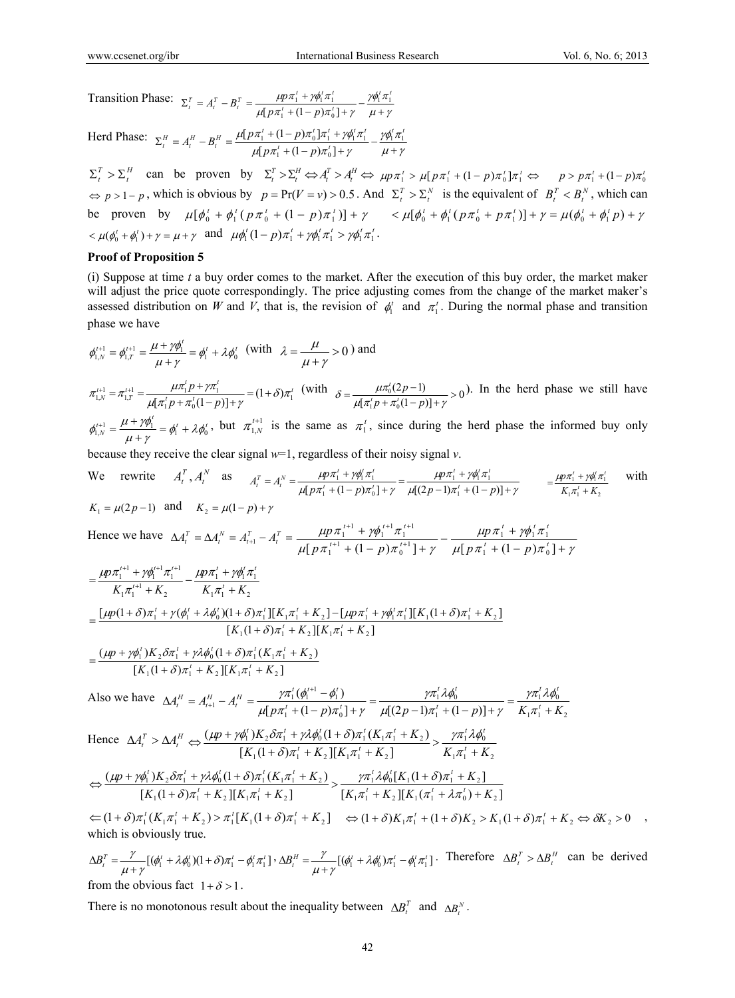Transition Phase:  $\mu$  +  $\gamma$  $\gamma \phi_1^t \pi$  $\mu[p\pi_1 + (1-p)\pi_0] + \gamma$  $\Sigma_t^T = A_t^T - B_t^T = \frac{\mu p \pi_1^t + \gamma \phi_1^t \pi_1^t}{\mu \left[ p \pi_1^t + (1-p) \pi_0^t \right] + \gamma} - \frac{\gamma \phi_1^t \pi_1^t}{\mu + \gamma}$  $t + (1 - n)\pi^t$  $\frac{d}{dt}^T = A_t^T - B_t^T = \frac{\mu p \pi_1^t + \gamma \phi_1^t \pi_1^t}{\mu \left[ p \pi_1^t + (1-p) \pi_0^t \right] + \gamma} - \frac{\gamma \phi_1^t \pi_1^t}{\mu + \gamma}$  $1 + (1 - P) \mu_0$  $\frac{\mu p \pi_1 + p \varphi_1 \pi_1}{[p \pi_1^t + (1-p) \pi_0^t]}$ 

Herd Phase:  $\mu$  +  $\gamma$  $\gamma \phi_1' \pi$  $\mu[p\pi_1 + (1-p)\pi_0] + \gamma$  $\Sigma_t^H = A_t^H - B_t^H = \frac{\mu [p \pi_1' + (1-p) \pi_0'] \pi_1' + \gamma \phi_1' \pi_1'}{\mu [p \pi_1' + (1-p) \pi_0'] + \gamma} - \frac{\gamma \phi_1' \pi_1'}{\mu + \gamma}$  $t + (1 - n)\pi^t$  $\frac{d}{dt} H = A_t^H - B_t^H = \frac{\mu [p \pi_1^t + (1-p) \pi_0^t] \pi_1^t + \gamma \phi_1^t \pi_1^t}{\mu [p \pi_1^t + (1-p) \pi_0^t] + \gamma} - \frac{\gamma \phi_1^t \pi_1^t}{\mu + \gamma}$  $1 + (1 - p)\mu_0$  $_1$  +  $($ 1 –  $p$  $)$  $\mu$ <sub>0</sub>  $\mu$ <sub>1</sub> +  $\gamma$  $\varphi$ <sub>1</sub> $\mu$ <sub>1</sub>  $[p\pi_1^t + (1-p)\pi_0^t]$  $[p\pi_1^t + (1-p)\pi_0^t]$ 

 $\Sigma_t^T > \Sigma_t^H$  can be proven by  $\Sigma_t^T > \Sigma_t^H \Leftrightarrow A_t^T > A_t^H \Leftrightarrow \mu p \pi_1' > \mu [p \pi_1' + (1-p) \pi_0' ] \pi_1' \Leftrightarrow p > p \pi_1' + (1-p) \pi_0'$  $\Rightarrow$  *p* > 1 - *p*, which is obvious by *p* = Pr(*V* = *v*) > 0.5. And  $\Sigma_t^T > \Sigma_t^N$  is the equivalent of  $B_t^T < B_t^N$ , which can be proven by  $\mu[\phi_0^t + \phi_1^t(p\pi_0^t + (1-p)\pi_1^t)] + \gamma$   $\leq \mu[\phi_0^t + \phi_1^t(p\pi_0^t + p\pi_1^t)] + \gamma = \mu(\phi_0^t + \phi_1^t p) + \gamma$  $< \mu(\phi_0^t + \phi_1^t) + \gamma = \mu + \gamma$  and  $\mu\phi_1^t(1-p)\pi_1^t + \gamma\phi_1^t\pi_1^t > \gamma\phi_1^t\pi_1^t$ .

## **Proof of Proposition 5**

(i) Suppose at time *t* a buy order comes to the market. After the execution of this buy order, the market maker will adjust the price quote correspondingly. The price adjusting comes from the change of the market maker's assessed distribution on *W* and *V*, that is, the revision of  $\phi_i^t$  and  $\pi_i^t$ . During the normal phase and transition phase we have

$$
\phi_{1,N}^{t+1} = \phi_{1,T}^{t+1} = \frac{\mu + \gamma \phi_1^t}{\mu + \gamma} = \phi_1^t + \lambda \phi_0^t \quad \text{(with } \lambda = \frac{\mu}{\mu + \gamma} > 0 \text{) and}
$$
\n
$$
\pi_{1,N}^{t+1} = \pi_{1,T}^{t+1} = \frac{\mu \pi_1^t p + \gamma \pi_1^t}{\mu [\pi_1^t p + \pi_0^t (1-p)] + \gamma} = (1+\delta)\pi_1^t \quad \text{(with } \delta = \frac{\mu \pi_0^t (2p-1)}{\mu [\pi_1^t p + \pi_0^t (1-p)] + \gamma} > 0 \text{). In the herd phase we still have}
$$
\n
$$
\phi_{1,N}^{t+1} = \frac{\mu + \gamma \phi_1^t}{\mu + \gamma} = \phi_1^t + \lambda \phi_0^t, \text{ but } \pi_{1,N}^{t+1} \text{ is the same as } \pi_1^t, \text{ since during the herd phase the informed buy only}
$$

because they receive the clear signal *w*=1, regardless of their noisy signal *v*.

We rewrite 
$$
A_t^T
$$
,  $A_t^N$  as  $A_t^T = A_t^N = \frac{\mu p \pi_1^T + \gamma \phi_1^T \pi_1^T}{\mu [p \pi_1^T + (1 - p) \pi_0^T] + \gamma} = \frac{\mu p \pi_1^T + \gamma \phi_1^T \pi_1^T}{\mu [(2p - 1) \pi_1^T + (1 - p)] + \gamma} = \frac{\mu p \pi_1^T + \gamma \phi_1^T \pi_1^T}{K_1 \pi_1^T + K_2}$  with   
\n $K_1 = \mu (2p - 1)$  and  $K_2 = \mu (1 - p) + \gamma$ 

Hence we have  $\Delta A_t^T = \Delta A_t^N = A_{t+1}^T - A_t^T = \frac{\mu p \pi_1 + \gamma \varphi_1}{\mu p \pi_1 + \gamma \varphi_1} \frac{\pi_1}{\pi_1} - \frac{\mu p \pi_1 + \gamma \varphi_1 \pi_1}{\mu p \pi_1 + \gamma \varphi_1 \pi_1}$  $\mu p \pi_1^t + \gamma \phi_1^t \pi$  $\mu \left[ p \pi_1 + (1-p) \pi_0 \right] + \gamma$  $\mu p \pi_1^{\iota+1} + \gamma \phi_1^{\iota+1} \pi$  $\frac{\mu p \pi_1^{t+1} + \gamma \phi_1^{t+1} \pi_1^{t+1}}{+\left(1-p\right) \pi_0^{t+1} + \gamma} - \frac{\mu p \pi_1^{t} + \gamma \phi_1^{t} \pi_1^{t}}{\mu \left[p \pi_1^{t} + \left(1-p\right) \pi_0^{t}\right] + \gamma}$  $+1$   $(1 - \pi) = t$  $+1$   $\frac{1}{2}$   $\frac{1}{2}$   $t+1$   $\frac{1}{2}$   $t+1$  $[p\pi_1^{t+1} + (1-p)\pi_0^{t+1}] + \gamma$   $\mu[p\pi_1^t + (1-p)\pi_0^t]$  $\frac{1}{\mu_1^{t+1} + (1-p)\pi_0^{t+1} + \gamma} - \frac{\mu_1^{t+1} + \gamma \varphi_1^{t+1}}{\mu(p\pi_1^t + (1-p)\pi_0^t)}$  $\frac{1}{1}$   $\frac{1}{1}$   $\frac{1}{1}$   $\frac{1}{1}$   $\frac{1}{1}$   $\frac{1}{1}$   $\frac{1}{1}$   $\frac{1}{1}$   $\frac{1}{1}$   $\frac{1}{1}$   $\frac{1}{1}$   $\frac{1}{1}$   $\frac{1}{1}$   $\frac{1}{1}$   $\frac{1}{1}$   $\frac{1}{1}$   $\frac{1}{1}$   $\frac{1}{1}$   $\frac{1}{1}$   $\frac{1}{1}$   $\frac{1}{1}$   $\frac{1}{1}$   $t \rightarrow \mu t$  *t*  $t$  $t+1$  **(1**  $t \ge 0$  $t+1$  *t*  $\cdots$  *t*  $t+1$   $\cdots$  $p\pi_1^t + (1-p)$ *p*  $p\pi_1^{t+1} + (1-p)$ *p*

$$
= \frac{\mu p \pi_1^{t+1} + \gamma \phi_1^{t+1} \pi_1^{t+1}}{K_1 \pi_1^{t+1} + K_2} - \frac{\mu p \pi_1^{t} + \gamma \phi_1^{t} \pi_1^{t}}{K_1 \pi_1^{t} + K_2}
$$
  
\n
$$
= \frac{[\mu p(1+\delta)\pi_1^{t} + \gamma(\phi_1^{t} + \lambda \phi_0^{t})(1+\delta)\pi_1^{t}][K_1 \pi_1^{t} + K_2] - [\mu p \pi_1^{t} + \gamma \phi_1^{t} \pi_1^{t}][K_1(1+\delta)\pi_1^{t} + K_2]}{[K_1(1+\delta)\pi_1^{t} + K_2][K_1 \pi_1^{t} + K_2]}
$$
  
\n
$$
= \frac{(\mu p + \gamma \phi_1^{t})K_2 \delta \pi_1^{t} + \gamma \lambda \phi_0^{t}(1+\delta) \pi_1^{t}(K_1 \pi_1^{t} + K_2)}{[K_1(1+\delta)\pi_1^{t} + K_2][K_1 \pi_1^{t} + K_2]}
$$

$$
\frac{K_1(1+\delta)\pi_1' + K_2 \left[ \left[ K_1 \pi_1' + K_2 \right] \right]}{[K_1(1+\delta)\pi_1' + K_2 \left[ \left[ K_1 \pi_1' + K_2 \right] \right]}
$$

Also we have 
$$
\Delta A_t^H = A_{t+1}^H - A_t^H = \frac{\gamma \pi_1^t (\phi_1^{t+1} - \phi_1^t)}{\mu [p \pi_1^t + (1 - p) \pi_0^t] + \gamma} = \frac{\gamma \pi_1^t \lambda \phi_0^t}{\mu [(2p - 1) \pi_1^t + (1 - p)] + \gamma} = \frac{\gamma \pi_1^t \lambda \phi_0^t}{K_1 \pi_1^t + K_2}
$$
  
\nHence 
$$
\Delta A_t^T > \Delta A_t^H \Leftrightarrow \frac{(\mu p + \gamma \phi_1^t) K_2 \delta \pi_1^t + \gamma \lambda \phi_0^t (1 + \delta) \pi_1^t (K_1 \pi_1^t + K_2)}{[K_1 (1 + \delta) \pi_1^t + K_2] \cdot [K_1 \pi_1^t + K_2]} > \frac{\gamma \pi_1^t \lambda \phi_0^t}{K_1 \pi_1^t + K_2}
$$

$$
\Leftrightarrow \frac{(\mu p + \gamma \phi_1^t) K_2 \delta \pi_1^t + \gamma \lambda \phi_0^t (1 + \delta) \pi_1^t (K_1 \pi_1^t + K_2)}{[K_1 (1 + \delta) \pi_1^t + K_2] \cdot [K_1 \pi_1^t + K_2]} > \frac{\gamma \pi_1^t \lambda \phi_0^t [K_1 (1 + \delta) \pi_1^t + K_2]}{[K_1 \pi_1^t + K_2] \cdot [K_1 \pi_1^t + K_2] \cdot [K_1 \pi_1^t + K_2]} = \frac{\gamma \pi_1^t \lambda \phi_0^t [K_1 (1 + \delta) \pi_1^t + K_2]}{K_1 \pi_1^t + K_2} \Leftrightarrow \delta K_2 > 0
$$

which is obviously true.

 $\Delta B_t^T = \frac{\gamma}{\mu + \gamma} [(\phi_1' + \lambda \phi_0') (1 + \delta) \pi_1' - \phi_1' \pi_1'] \cdot \Delta B_t^H = \frac{\gamma}{\mu + \gamma} [(\phi_1' + \lambda \phi_0') \pi_1' - \phi_1' \pi_1'] \cdot \text{Therefore } \Delta B_t^T > \Delta B_t^H \text{ can be derived}$ from the obvious fact  $1 + \delta > 1$ .

There is no monotonous result about the inequality between  $\Delta B_t^T$  and  $\Delta B_t^N$ .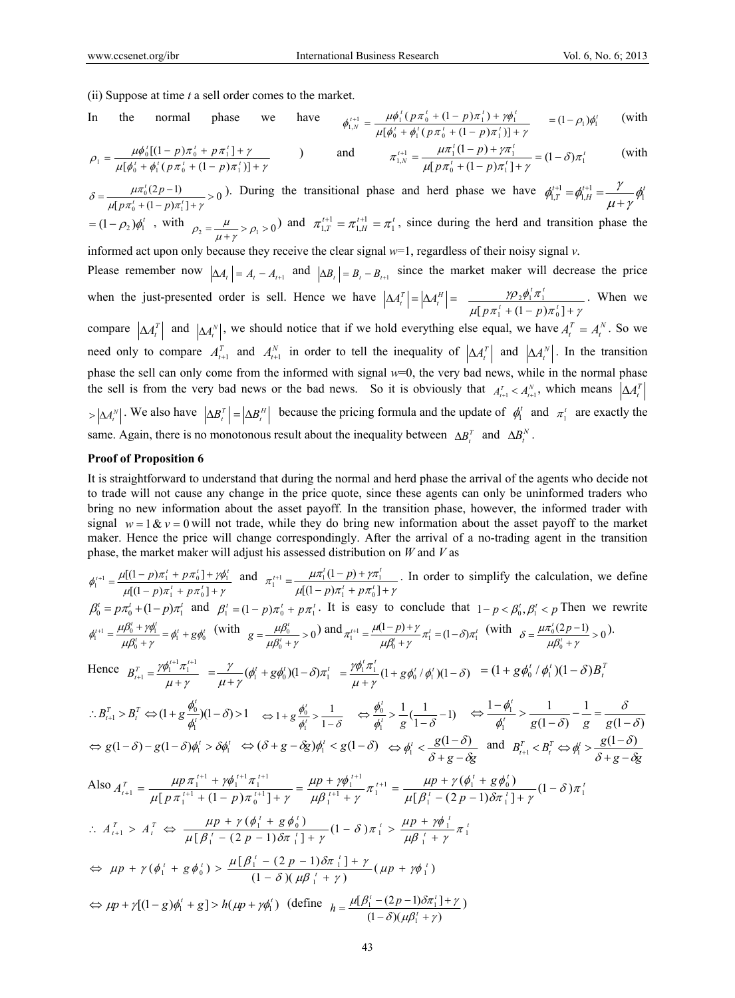(ii) Suppose at time *t* a sell order comes to the market.

In the normal phase we have 
$$
\phi_{1,N}^{t+1} = \frac{\mu \phi_1^t (p \pi_0^t + (1 - p) \pi_1^t) + \gamma \phi_1^t}{\mu [\phi_0^t + \phi_1^t (p \pi_0^t + (1 - p) \pi_1^t)] + \gamma} = (1 - \rho_1) \phi_1^t
$$
 (with

$$
\rho_1 = \frac{\mu \phi_0^t [(1-p)\pi_0^t + p\pi_1^t] + \gamma}{\mu [\phi_0^t + \phi_1^t (p\pi_0^t + (1-p)\pi_1^t)] + \gamma}
$$
 and 
$$
\pi_{1,N}^{t+1} = \frac{\mu \pi_1^t (1-p) + \gamma \pi_1^t}{\mu [p\pi_0^t + (1-p)\pi_1^t] + \gamma} = (1-\delta)\pi_1^t
$$
 (with

 $\frac{\mu n_0 (2p-1)}{[p \pi_0^t + (1-p) \pi_1^t] + \gamma} > 0$  $(2p-1)$  $\delta = \frac{\mu \pi_0^t (2p-1)}{\mu [p \pi_0^t + (1-p) \pi_1^t] + \gamma}$  $p\pi_0^t$  + (1 – p  $\frac{p-1}{(p-1)\pi}$ ,  $\frac{1}{(p+1)^2} > 0$ . During the transitional phase and herd phase we have  $\phi_{1,T}^{t+1} = \phi_{1,H}^{t+1} = \frac{1}{(p+1)^2} \phi_1^{t+1}$  $\phi_{1,T}^{t+1} = \phi_{1,H}^{t+1} = \frac{\gamma}{\mu + \gamma}$  $\tau_1 = (1 - \rho_2)\phi_1^t$ , with  $\rho_2 = \frac{\mu}{\mu + \gamma} > \rho_1 > 0$  and  $\pi_{1,T}^{t+1} = \pi_{1,H}^{t+1} = \pi_1^t$ , since during the herd and transition phase the

informed act upon only because they receive the clear signal *w*=1, regardless of their noisy signal *v*.

Please remember now  $|\Delta A_t| = A_t - A_{t+1}$  and  $|\Delta B_t| = B_t - B_{t+1}$  since the market maker will decrease the price when the just-presented order is sell. Hence we have  $|\Delta A_t^T| = |\Delta A_t^H| = \frac{\gamma \rho_2 \phi_1 \pi_1}{\mu [\rho \pi_1' + (1 - \rho) \pi_0'] + \gamma}$  $\gamma \rho_2 \phi_1^T \pi$  $\frac{p_2\psi_1\pi_1}{[p\pi_1^t+(1-p)\pi_0^t]+}$ *t t*  $p\pi_1^t + (1-p)$ . When we

compare  $|\Delta A_t^T|$  and  $|\Delta A_t^N|$ , we should notice that if we hold everything else equal, we have  $A_t^T = A_t^N$ . So we need only to compare  $A_{t+1}^T$  and  $A_{t+1}^N$  in order to tell the inequality of  $|\Delta A_t^T|$  and  $|\Delta A_t^N|$ . In the transition phase the sell can only come from the informed with signal  $w=0$ , the very bad news, while in the normal phase the sell is from the very bad news or the bad news. So it is obviously that  $A_{t+1}^T < A_{t+1}^N$ , which means  $\Delta A_t^T$  $\left|\Delta A_t^N\right|$ . We also have  $\left|\Delta B_t^T\right| = \left|\Delta B_t^H\right|$  because the pricing formula and the update of  $\phi_1^T$  and  $\pi_1^T$  are exactly the same. Again, there is no monotonous result about the inequality between  $\Delta B_t^T$  and  $\Delta B_t^N$ .

#### **Proof of Proposition 6**

It is straightforward to understand that during the normal and herd phase the arrival of the agents who decide not to trade will not cause any change in the price quote, since these agents can only be uninformed traders who bring no new information about the asset payoff. In the transition phase, however, the informed trader with signal  $w = 1 \& v = 0$  will not trade, while they do bring new information about the asset payoff to the market maker. Hence the price will change correspondingly. After the arrival of a no-trading agent in the transition phase, the market maker will adjust his assessed distribution on *W* and *V* as

$$
\phi_{1}^{i+1} = \frac{\mu[(1-p)\pi_{1}^{i} + p\pi_{0}^{i}] + \gamma\phi_{1}^{i}}{\mu[(1-p)\pi_{1}^{i} + p\pi_{0}^{i}] + \gamma}
$$
 In order to simplify the calculation, we define  
\n
$$
\beta_{0}^{i} = p\pi_{0}^{i} + (1-p)\pi_{1}^{i} + p\pi_{0}^{i}] + \gamma
$$
\n
$$
\beta_{0}^{i} = p\pi_{0}^{i} + (1-p)\pi_{1}^{i} \text{ and } \beta_{1}^{i} = (1-p)\pi_{0}^{i} + p\pi_{0}^{i} + \gamma\pi_{1}^{i}.
$$
 It is easy to conclude that  $1-p < \beta_{0}^{i}, \beta_{1}^{i} < p$  Then we rewrite  
\n
$$
\phi_{1}^{i+1} = \frac{\mu\beta_{0}^{i} + \gamma\phi_{1}^{i}}{\mu\beta_{0}^{i} + \gamma} = \phi_{1}^{i} + g\phi_{0}^{i} \text{ (with } g = \frac{\mu\beta_{0}^{i}}{\mu\beta_{0}^{i} + \gamma} > 0) \text{ and } \pi_{1}^{i+1} = \frac{\mu(1-p)+\gamma}{\mu\beta_{0}^{i} + \gamma} \pi_{1}^{i} = (1-\delta)\pi_{1}^{i} \text{ (with } \delta = \frac{\mu\pi_{0}^{i}(2p-1)}{\mu\beta_{0}^{i} + \gamma} > 0).
$$
\nHence  $B_{i+1}^{T} = \frac{\gamma\phi_{1}^{i+1}\pi_{1}^{i+1}}{\mu + \gamma} = \frac{\gamma}{\mu + \gamma}(\phi_{1}^{i} + g\phi_{0}^{i})(1-\delta)\pi_{1}^{i} = \frac{\gamma\phi_{1}^{i}\pi_{1}^{i}}{\mu\beta_{0}^{i} + \gamma} (1 + g\phi_{0}^{i} / \phi_{1}^{i})(1-\delta) = (1 + g\phi_{0}^{i} / \phi_{1}^{i})(1-\delta)B_{i}^{T}$   
\n
$$
\therefore B_{i+1}^{T} > B_{i}^{T} \Leftrightarrow (1 + g\frac{\phi_{0}^{i}}{\phi_{1}^{i}})(1-\delta) > 1 \Leftrightarrow 1 + g\frac{\phi_{0}^{i}}{\phi_{1}^{i}} > \frac{1}{1-\delta}
$$